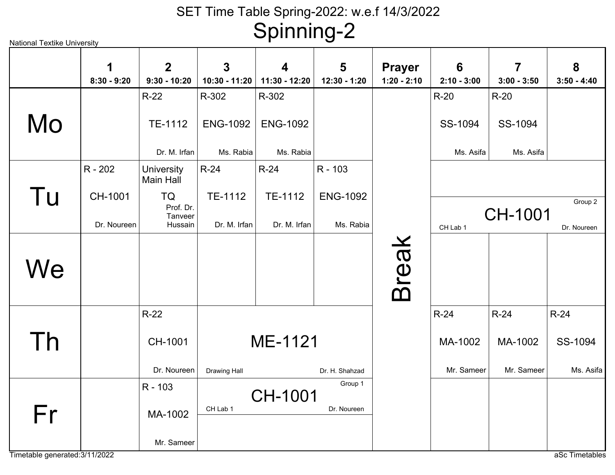| National Textike University |                    |                                  |                     | כי יי י י י י י    |                   |                                |                                  |                    |                    |
|-----------------------------|--------------------|----------------------------------|---------------------|--------------------|-------------------|--------------------------------|----------------------------------|--------------------|--------------------|
|                             | 1<br>$8:30 - 9:20$ | $\overline{2}$<br>$9:30 - 10:20$ | 3<br>10:30 - 11:20  | 4<br>11:30 - 12:20 | 5<br>12:30 - 1:20 | <b>Prayer</b><br>$1:20 - 2:10$ | $6\phantom{1}6$<br>$2:10 - 3:00$ | 7<br>$3:00 - 3:50$ | 8<br>$3:50 - 4:40$ |
|                             |                    | $R-22$                           | R-302               | R-302              |                   |                                | $R-20$                           | $R-20$             |                    |
| Mo                          |                    | TE-1112                          | <b>ENG-1092</b>     | <b>ENG-1092</b>    |                   |                                | SS-1094                          | SS-1094            |                    |
|                             |                    | Dr. M. Irfan                     | Ms. Rabia           | Ms. Rabia          |                   |                                | Ms. Asifa                        | Ms. Asifa          |                    |
|                             | $R - 202$          | <b>University</b><br>Main Hall   | $R-24$              | $R-24$             | R - 103           |                                |                                  |                    |                    |
| Tu                          | CH-1001            | TQ                               | TE-1112             | TE-1112            | <b>ENG-1092</b>   |                                |                                  |                    | Group 2            |
|                             | Dr. Noureen        | Prof. Dr.<br>Tanveer<br>Hussain  | Dr. M. Irfan        | Dr. M. Irfan       | Ms. Rabia         |                                | CH Lab 1                         | CH-1001            | Dr. Noureen        |
|                             |                    |                                  |                     |                    |                   |                                |                                  |                    |                    |
| We                          |                    |                                  |                     |                    |                   |                                |                                  |                    |                    |
|                             |                    |                                  |                     |                    |                   | <b>Break</b>                   |                                  |                    |                    |
|                             |                    | $R-22$                           |                     |                    |                   |                                | $R-24$                           | $R-24$             | $R-24$             |
| Th                          |                    | CH-1001                          |                     | ME-1121            |                   |                                | MA-1002                          | MA-1002            | SS-1094            |
|                             |                    | Dr. Noureen                      | <b>Drawing Hall</b> |                    | Dr. H. Shahzad    |                                | Mr. Sameer                       | Mr. Sameer         | Ms. Asifa          |
|                             |                    | R - 103                          |                     | CH-1001            | Group 1           |                                |                                  |                    |                    |
| Fr                          |                    | MA-1002                          | CH Lab 1            |                    | Dr. Noureen       |                                |                                  |                    |                    |
|                             |                    | Mr. Sameer                       |                     |                    |                   |                                |                                  |                    |                    |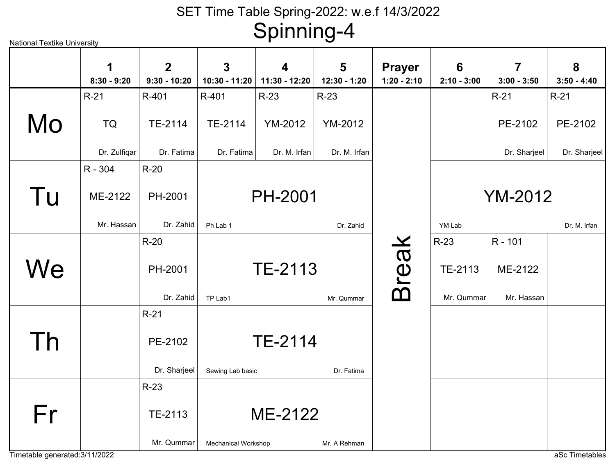| <b>National Textike University</b> |                    |                                  |                               | – כי … … פ         |                   |                                |                                  |                                          |                    |
|------------------------------------|--------------------|----------------------------------|-------------------------------|--------------------|-------------------|--------------------------------|----------------------------------|------------------------------------------|--------------------|
|                                    | 1<br>$8:30 - 9:20$ | $\overline{2}$<br>$9:30 - 10:20$ | $\mathbf{3}$<br>10:30 - 11:20 | 4<br>11:30 - 12:20 | 5<br>12:30 - 1:20 | <b>Prayer</b><br>$1:20 - 2:10$ | $6\phantom{1}6$<br>$2:10 - 3:00$ | $\overline{\mathbf{7}}$<br>$3:00 - 3:50$ | 8<br>$3:50 - 4:40$ |
|                                    | $R-21$             | R-401                            | R-401                         | $R-23$             | $R-23$            |                                |                                  | $R-21$                                   | $R-21$             |
| Mo                                 | <b>TQ</b>          | TE-2114                          | TE-2114                       | <b>YM-2012</b>     | <b>YM-2012</b>    |                                |                                  | PE-2102                                  | PE-2102            |
|                                    | Dr. Zulfiqar       | Dr. Fatima                       | Dr. Fatima                    | Dr. M. Irfan       | Dr. M. Irfan      |                                |                                  | Dr. Sharjeel                             | Dr. Sharjeel       |
|                                    | R - 304            | $R-20$                           |                               |                    |                   |                                |                                  |                                          |                    |
| Tu                                 | ME-2122            | PH-2001                          |                               | <b>PH-2001</b>     |                   |                                |                                  | <b>YM-2012</b>                           |                    |
|                                    | Mr. Hassan         | Dr. Zahid                        | Ph Lab 1                      |                    | Dr. Zahid         |                                | YM Lab                           |                                          | Dr. M. Irfan       |
|                                    |                    | $R-20$                           |                               |                    |                   |                                | $R-23$                           | R - 101                                  |                    |
| We                                 |                    | PH-2001                          |                               | <b>TE-2113</b>     |                   | <b>Break</b>                   | TE-2113                          | ME-2122                                  |                    |
|                                    |                    | Dr. Zahid                        | TP Lab1                       |                    | Mr. Qummar        |                                | Mr. Qummar                       | Mr. Hassan                               |                    |
|                                    |                    | $R-21$                           |                               |                    |                   |                                |                                  |                                          |                    |
| Th                                 |                    | PE-2102                          |                               | TE-2114            |                   |                                |                                  |                                          |                    |
|                                    |                    | Dr. Sharjeel                     | Sewing Lab basic              |                    | Dr. Fatima        |                                |                                  |                                          |                    |
|                                    |                    | $R-23$                           |                               |                    |                   |                                |                                  |                                          |                    |
| Fr                                 |                    | TE-2113                          |                               | ME-2122            |                   |                                |                                  |                                          |                    |
|                                    |                    | Mr. Qummar                       | <b>Mechanical Workshop</b>    |                    | Mr. A Rehman      |                                |                                  |                                          |                    |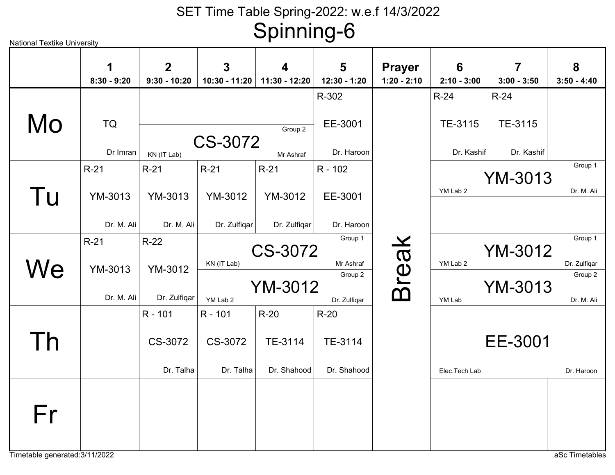|    | 1<br>$8:30 - 9:20$ | $\overline{2}$<br>$9:30 - 10:20$ | $\overline{3}$<br>$10:30 - 11:20$ | $\blacktriangle$<br>11:30 - 12:20 | 5<br>12:30 - 1:20 | <b>Prayer</b><br>$1:20 - 2:10$ | 6<br>$2:10 - 3:00$ | $\overline{7}$<br>$3:00 - 3:50$ | 8<br>$3:50 - 4:40$ |
|----|--------------------|----------------------------------|-----------------------------------|-----------------------------------|-------------------|--------------------------------|--------------------|---------------------------------|--------------------|
|    |                    |                                  |                                   |                                   | R-302             |                                | $R-24$             | $R-24$                          |                    |
| Mo | <b>TQ</b>          |                                  | CS-3072                           | Group 2                           | EE-3001           |                                | TE-3115            | TE-3115                         |                    |
|    | Dr Imran           | KN (IT Lab)                      |                                   | Mr Ashraf                         | Dr. Haroon        |                                | Dr. Kashif         | Dr. Kashif                      |                    |
|    | $R-21$             | $R-21$                           | $R-21$                            | $R-21$                            | R - 102           |                                |                    | <b>YM-3013</b>                  | Group 1            |
| Tu | YM-3013            | YM-3013                          | <b>YM-3012</b>                    | YM-3012                           | EE-3001           |                                | YM Lab 2           |                                 | Dr. M. Ali         |
|    | Dr. M. Ali         | Dr. M. Ali                       | Dr. Zulfiqar                      | Dr. Zulfiqar                      | Dr. Haroon        |                                |                    |                                 |                    |
|    | $R-21$             | $R-22$                           |                                   | CS-3072                           | Group 1           |                                |                    | <b>YM-3012</b>                  | Group 1            |
| We | YM-3013            | YM-3012                          | KN (IT Lab)                       |                                   | Mr Ashraf         |                                | YM Lab 2           |                                 | Dr. Zulfiqar       |
|    |                    |                                  |                                   | <b>YM-3012</b>                    | Group 2           | <b>Break</b>                   |                    | <b>YM-3013</b>                  | Group 2            |
|    | Dr. M. Ali         | Dr. Zulfigar                     | YM Lab 2                          |                                   | Dr. Zulfiqar      |                                | YM Lab             |                                 | Dr. M. Ali         |
|    |                    | R - 101                          | R - 101                           | $R-20$                            | $R-20$            |                                |                    |                                 |                    |
| Th |                    | CS-3072                          | CS-3072                           | TE-3114                           | TE-3114           |                                |                    | EE-3001                         |                    |
|    |                    | Dr. Talha                        | Dr. Talha                         | Dr. Shahood                       | Dr. Shahood       |                                | Elec.Tech Lab      |                                 | Dr. Haroon         |
| Fr |                    |                                  |                                   |                                   |                   |                                |                    |                                 |                    |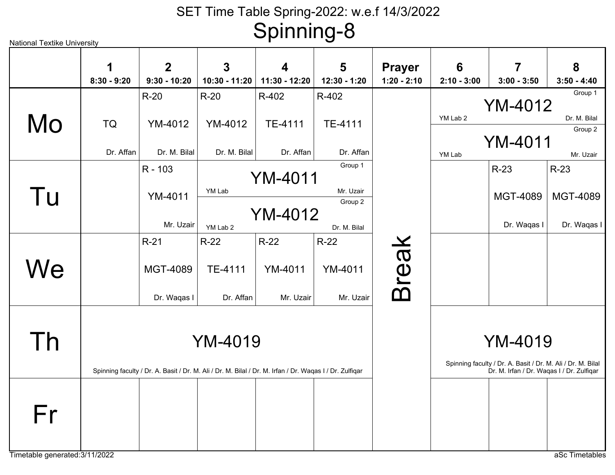| <b>National Textike University</b>   |                    |                               |                                                                                                         | כ……            |                   |                                |                 |                                                                                                          |                    |
|--------------------------------------|--------------------|-------------------------------|---------------------------------------------------------------------------------------------------------|----------------|-------------------|--------------------------------|-----------------|----------------------------------------------------------------------------------------------------------|--------------------|
|                                      | 1<br>$8:30 - 9:20$ | $\mathbf 2$<br>$9:30 - 10:20$ | 3                                                                                                       | 4              | 5<br>12:30 - 1:20 | <b>Prayer</b><br>$1:20 - 2:10$ | $6\phantom{1}6$ | 7<br>$3:00 - 3:50$                                                                                       | 8<br>$3:50 - 4:40$ |
|                                      |                    |                               | 10:30 - 11:20                                                                                           | 11:30 - 12:20  |                   |                                | $2:10 - 3:00$   |                                                                                                          | Group 1            |
|                                      |                    | $R-20$                        | $R-20$                                                                                                  | R-402          | R-402             |                                |                 | <b>YM-4012</b>                                                                                           |                    |
|                                      |                    |                               |                                                                                                         |                |                   |                                | YM Lab 2        |                                                                                                          | Dr. M. Bilal       |
| Mo                                   | TQ                 | <b>YM-4012</b>                | <b>YM-4012</b>                                                                                          | TE-4111        | TE-4111           |                                |                 |                                                                                                          | Group 2            |
|                                      |                    |                               |                                                                                                         |                |                   |                                |                 | <b>YM-4011</b>                                                                                           |                    |
|                                      | Dr. Affan          | Dr. M. Bilal                  | Dr. M. Bilal                                                                                            | Dr. Affan      | Dr. Affan         |                                | YM Lab          |                                                                                                          | Mr. Uzair          |
|                                      |                    | R - 103                       |                                                                                                         |                | Group 1           |                                |                 | $R-23$                                                                                                   | $R-23$             |
|                                      |                    |                               |                                                                                                         | <b>YM-4011</b> |                   |                                |                 |                                                                                                          |                    |
| Tu                                   |                    | <b>YM-4011</b>                | YM Lab                                                                                                  |                | Mr. Uzair         |                                |                 | <b>MGT-4089</b>                                                                                          | <b>MGT-4089</b>    |
|                                      |                    |                               |                                                                                                         |                | Group 2           |                                |                 |                                                                                                          |                    |
|                                      |                    |                               |                                                                                                         | <b>YM-4012</b> |                   |                                |                 |                                                                                                          |                    |
|                                      |                    | Mr. Uzair                     | YM Lab 2                                                                                                |                | Dr. M. Bilal      |                                |                 | Dr. Waqas I                                                                                              | Dr. Waqas I        |
|                                      |                    | $R-21$                        | $R-22$                                                                                                  | $R-22$         | $R-22$            |                                |                 |                                                                                                          |                    |
| We                                   |                    | <b>MGT-4089</b>               | TE-4111                                                                                                 | <b>YM-4011</b> | <b>YM-4011</b>    | <b>Break</b>                   |                 |                                                                                                          |                    |
|                                      |                    | Dr. Waqas I                   | Dr. Affan                                                                                               | Mr. Uzair      | Mr. Uzair         |                                |                 |                                                                                                          |                    |
| Th                                   |                    |                               | <b>YM-4019</b>                                                                                          |                |                   |                                |                 | <b>YM-4019</b>                                                                                           |                    |
|                                      |                    |                               | Spinning faculty / Dr. A. Basit / Dr. M. Ali / Dr. M. Bilal / Dr. M. Irfan / Dr. Waqas I / Dr. Zulfiqar |                |                   |                                |                 | Spinning faculty / Dr. A. Basit / Dr. M. Ali / Dr. M. Bilal<br>Dr. M. Irfan / Dr. Waqas I / Dr. Zulfiqar |                    |
| Fr<br>Timetable generated: 3/11/2022 |                    |                               |                                                                                                         |                |                   |                                |                 |                                                                                                          | aSc Timetables     |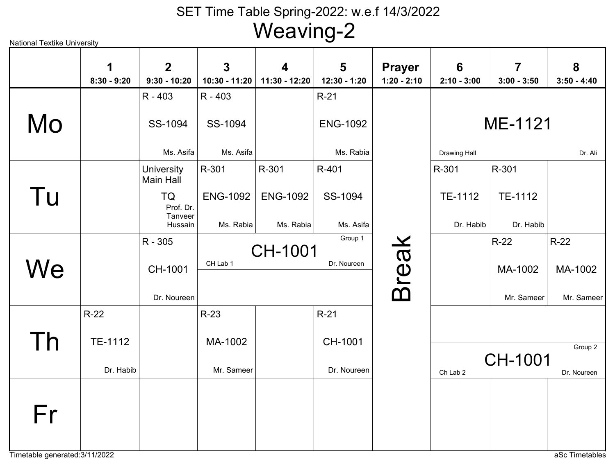| National Textike University |                    |                                  |                               | . <u>.</u>         |                   |                                |                    |                    |                    |
|-----------------------------|--------------------|----------------------------------|-------------------------------|--------------------|-------------------|--------------------------------|--------------------|--------------------|--------------------|
|                             | 1<br>$8:30 - 9:20$ | $\overline{2}$<br>$9:30 - 10:20$ | $\mathbf{3}$<br>10:30 - 11:20 | 4<br>11:30 - 12:20 | 5<br>12:30 - 1:20 | <b>Prayer</b><br>$1:20 - 2:10$ | 6<br>$2:10 - 3:00$ | 7<br>$3:00 - 3:50$ | 8<br>$3:50 - 4:40$ |
|                             |                    | $R - 403$                        | $R - 403$                     |                    | $R-21$            |                                |                    |                    |                    |
| Mo                          |                    | SS-1094                          | SS-1094                       |                    | <b>ENG-1092</b>   |                                |                    | ME-1121            |                    |
|                             |                    | Ms. Asifa                        | Ms. Asifa                     |                    | Ms. Rabia         |                                | Drawing Hall       |                    | Dr. Ali            |
|                             |                    | University<br>Main Hall          | R-301                         | R-301              | R-401             |                                | R-301              | R-301              |                    |
| Tu                          |                    | TQ<br>Prof. Dr.<br>Tanveer       | <b>ENG-1092</b>               | <b>ENG-1092</b>    | SS-1094           |                                | TE-1112            | TE-1112            |                    |
|                             |                    | Hussain                          | Ms. Rabia                     | Ms. Rabia          | Ms. Asifa         |                                | Dr. Habib          | Dr. Habib          |                    |
|                             |                    | R - 305                          |                               | <b>CH-1001</b>     | Group 1           | <b>Break</b>                   |                    | $R-22$             | $R-22$             |
| We                          |                    | CH-1001                          | CH Lab 1                      |                    | Dr. Noureen       |                                |                    | MA-1002            | MA-1002            |
|                             |                    | Dr. Noureen                      |                               |                    |                   |                                |                    | Mr. Sameer         | Mr. Sameer         |
|                             | $R-22$             |                                  | $R-23$                        |                    | $R-21$            |                                |                    |                    |                    |
|                             | TE-1112            |                                  | MA-1002                       |                    | CH-1001           |                                |                    |                    |                    |
| Th                          |                    |                                  |                               |                    |                   |                                |                    | <b>CH-1001</b>     | Group 2            |
|                             | Dr. Habib          |                                  | Mr. Sameer                    |                    | Dr. Noureen       |                                | Ch Lab 2           |                    | Dr. Noureen        |
|                             |                    |                                  |                               |                    |                   |                                |                    |                    |                    |
| Fr                          |                    |                                  |                               |                    |                   |                                |                    |                    |                    |
|                             |                    |                                  |                               |                    |                   |                                |                    |                    |                    |
|                             |                    |                                  |                               |                    |                   |                                |                    |                    |                    |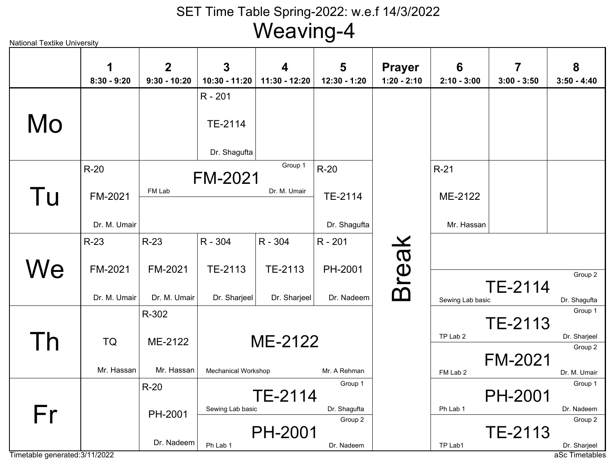|                                | 1             | $\overline{2}$ | 3                          | 4              | 5                       | <b>Prayer</b> | $6\phantom{1}6$  | $\overline{7}$ | 8                              |
|--------------------------------|---------------|----------------|----------------------------|----------------|-------------------------|---------------|------------------|----------------|--------------------------------|
|                                | $8:30 - 9:20$ | $9:30 - 10:20$ | 10:30 - 11:20              | 11:30 - 12:20  | 12:30 - 1:20            | $1:20 - 2:10$ | $2:10 - 3:00$    | $3:00 - 3:50$  | $3:50 - 4:40$                  |
| Mo                             |               |                | R - 201<br>TE-2114         |                |                         |               |                  |                |                                |
|                                |               |                | Dr. Shagufta               |                |                         |               |                  |                |                                |
|                                | $R-20$        |                | <b>FM-2021</b>             | Group 1        | $R-20$                  |               | $R-21$           |                |                                |
| Tu                             | FM-2021       | FM Lab         |                            | Dr. M. Umair   | TE-2114                 |               | ME-2122          |                |                                |
|                                | Dr. M. Umair  |                |                            |                | Dr. Shagufta            |               | Mr. Hassan       |                |                                |
|                                | $R-23$        | $R-23$         | R - 304                    | R - 304        | R - 201                 |               |                  |                |                                |
| We                             | FM-2021       | FM-2021        | TE-2113                    | TE-2113        | PH-2001                 | <b>Break</b>  |                  |                | Group 2                        |
|                                | Dr. M. Umair  | Dr. M. Umair   | Dr. Sharjeel               | Dr. Sharjeel   | Dr. Nadeem              |               | Sewing Lab basic | TE-2114        | Dr. Shagufta                   |
|                                |               | R-302          |                            |                |                         |               |                  | <b>TE-2113</b> | Group 1                        |
| Τh                             | <b>TQ</b>     | ME-2122        |                            | ME-2122        |                         |               | TP Lab 2         |                | Dr. Sharjeel<br>Group 2        |
|                                | Mr. Hassan    | Mr. Hassan     | <b>Mechanical Workshop</b> |                | Mr. A Rehman            |               | FM Lab 2         | <b>FM-2021</b> | Dr. M. Umair                   |
|                                |               | $R-20$         |                            |                | Group 1                 |               |                  |                | Group 1                        |
|                                |               |                |                            | <b>TE-2114</b> |                         |               |                  | <b>PH-2001</b> |                                |
| Fr                             |               | PH-2001        | Sewing Lab basic           |                | Dr. Shagufta<br>Group 2 |               | Ph Lab 1         |                | Dr. Nadeem<br>Group 2          |
|                                |               |                |                            | <b>PH-2001</b> |                         |               |                  | TE-2113        |                                |
| Timetable generated: 3/11/2022 |               | Dr. Nadeem     | Ph Lab 1                   |                | Dr. Nadeem              |               | TP Lab1          |                | Dr. Sharjeel<br>aSc Timetables |

National Textike University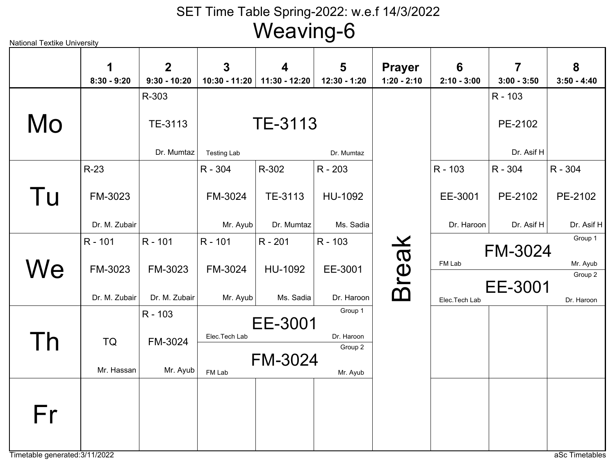TE-3113Testing Lab Dr. Mumtaz TE-3113Dr. MumtazR-303PE-2102Dr. Asif HR - 103FM-3024Mr. AyubR - 304HU-1092Ms. SadiaR - 203TE-3113Dr. MumtazR-302FM-3023Dr. M. ZubairR-23EE-3001Dr. HaroonR - 103PE-2102Dr. Asif HR - 304PE-2102Dr. Asif HR - 304FM-3024Mr. AyubR - 101HU-1092Ms. SadiaR - 201EE-3001Dr. HaroonR - 103FM-3023Dr. M. ZubairR - 101FM-3023Dr. M. ZubairR - 101 FM-3024FM Lab Mr. Ayub Group 1EE-3001Elec.Tech Lab Dr. Haroon Group 2FM-3024Mr. AyubR - 103FM-3024FM Lab Mr. Ayub Group 2EE-3001Elec.Tech Lab Dr. Haroon Group 1TQMr. HassanBreak MoTu**We** ThFr**1 8:30 - 9:202 9:30 - 10:203 10:30 - 11:204 11:30 - 12:205 12:30 - 1:20Prayer 1:20 - 2:106 2:10 - 3:007 3:00 - 3:5083:50 - 4:40**

Timetable generated:3/11/2022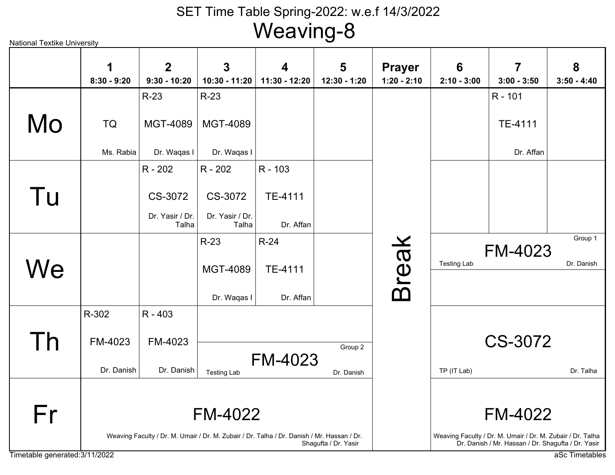| <b>National Textike University</b> |                    |                                  |                                 | . 9                                                                                        |                                         |                                |                                  |                                                                                                                  |                    |
|------------------------------------|--------------------|----------------------------------|---------------------------------|--------------------------------------------------------------------------------------------|-----------------------------------------|--------------------------------|----------------------------------|------------------------------------------------------------------------------------------------------------------|--------------------|
|                                    | 1<br>$8:30 - 9:20$ | $\overline{2}$<br>$9:30 - 10:20$ | $\overline{3}$<br>10:30 - 11:20 | 4<br>11:30 - 12:20                                                                         | $\overline{\mathbf{5}}$<br>12:30 - 1:20 | <b>Prayer</b><br>$1:20 - 2:10$ | $6\phantom{1}6$<br>$2:10 - 3:00$ | $\overline{\mathbf{7}}$<br>$3:00 - 3:50$                                                                         | 8<br>$3:50 - 4:40$ |
|                                    |                    | $R-23$                           | $R-23$                          |                                                                                            |                                         |                                |                                  | R - 101                                                                                                          |                    |
| Mo                                 | <b>TQ</b>          | <b>MGT-4089</b>                  | <b>MGT-4089</b>                 |                                                                                            |                                         |                                |                                  | TE-4111                                                                                                          |                    |
|                                    | Ms. Rabia          | Dr. Waqas I                      | Dr. Waqas I                     |                                                                                            |                                         |                                |                                  | Dr. Affan                                                                                                        |                    |
|                                    |                    | R - 202                          | R - 202                         | R - 103                                                                                    |                                         |                                |                                  |                                                                                                                  |                    |
| Tu                                 |                    | CS-3072                          | CS-3072                         | TE-4111                                                                                    |                                         |                                |                                  |                                                                                                                  |                    |
|                                    |                    | Dr. Yasir / Dr.<br>Talha         | Dr. Yasir / Dr.<br>Talha        | Dr. Affan                                                                                  |                                         |                                |                                  |                                                                                                                  |                    |
|                                    |                    |                                  | $R-23$                          | $R-24$                                                                                     |                                         |                                |                                  |                                                                                                                  | Group 1            |
|                                    |                    |                                  |                                 |                                                                                            |                                         |                                | <b>Testing Lab</b>               | <b>FM-4023</b>                                                                                                   | Dr. Danish         |
| We                                 |                    |                                  | MGT-4089                        | TE-4111                                                                                    |                                         |                                |                                  |                                                                                                                  |                    |
|                                    |                    |                                  | Dr. Waqas I                     | Dr. Affan                                                                                  |                                         | <b>Break</b>                   |                                  |                                                                                                                  |                    |
|                                    | R-302              | R - 403                          |                                 |                                                                                            |                                         |                                |                                  |                                                                                                                  |                    |
| Th                                 | FM-4023            | FM-4023                          |                                 |                                                                                            | Group 2                                 |                                |                                  | CS-3072                                                                                                          |                    |
|                                    | Dr. Danish         | Dr. Danish                       | <b>Testing Lab</b>              | <b>FM-4023</b>                                                                             | Dr. Danish                              |                                | TP (IT Lab)                      |                                                                                                                  | Dr. Talha          |
|                                    |                    |                                  |                                 |                                                                                            |                                         |                                |                                  |                                                                                                                  |                    |
| Fr                                 |                    |                                  | <b>FM-4022</b>                  |                                                                                            |                                         |                                |                                  | <b>FM-4022</b>                                                                                                   |                    |
|                                    |                    |                                  |                                 | Weaving Faculty / Dr. M. Umair / Dr. M. Zubair / Dr. Talha / Dr. Danish / Mr. Hassan / Dr. | Shagufta / Dr. Yasir                    |                                |                                  | Weaving Faculty / Dr. M. Umair / Dr. M. Zubair / Dr. Talha<br>Dr. Danish / Mr. Hassan / Dr. Shagufta / Dr. Yasir |                    |
| Timetable generated: 3/11/2022     |                    |                                  |                                 |                                                                                            |                                         |                                |                                  |                                                                                                                  | aSc Timetables     |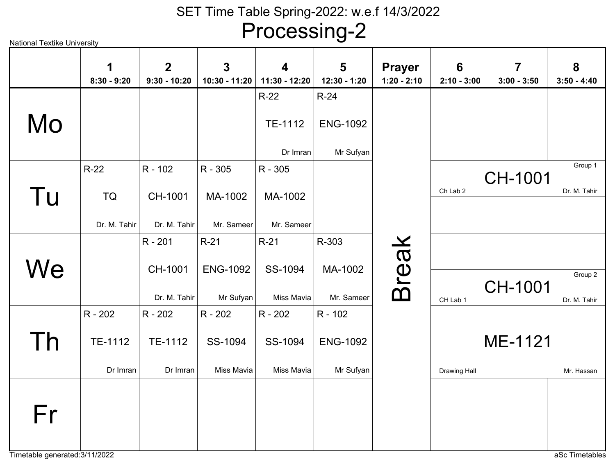Processing-2

|            | 1<br>$8:30 - 9:20$                    | $\overline{2}$<br>$9:30 - 10:20$   | $\overline{3}$<br>10:30 - 11:20        | $\overline{\mathbf{4}}$<br>11:30 - 12:20 | 5<br>12:30 - 1:20                       | <b>Prayer</b><br>$1:20 - 2:10$ | 6<br>$2:10 - 3:00$ | $\overline{7}$<br>$3:00 - 3:50$ | 8<br>$3:50 - 4:40$      |
|------------|---------------------------------------|------------------------------------|----------------------------------------|------------------------------------------|-----------------------------------------|--------------------------------|--------------------|---------------------------------|-------------------------|
| Mo         |                                       |                                    |                                        | $R-22$<br>TE-1112<br>Dr Imran            | $R-24$<br><b>ENG-1092</b><br>Mr Sufyan  |                                |                    |                                 |                         |
| Tu         | R-22<br><b>TQ</b><br>Dr. M. Tahir     | R - 102<br>CH-1001<br>Dr. M. Tahir | R - 305<br>MA-1002<br>Mr. Sameer       | R - 305<br>MA-1002<br>Mr. Sameer         |                                         |                                | Ch Lab 2           | CH-1001                         | Group 1<br>Dr. M. Tahir |
| We         |                                       | R - 201<br>CH-1001<br>Dr. M. Tahir | $R-21$<br><b>ENG-1092</b><br>Mr Sufyan | $R-21$<br>SS-1094<br>Miss Mavia          | R-303<br>MA-1002<br>Mr. Sameer          | <b>Break</b>                   | CH Lab 1           | CH-1001                         | Group 2<br>Dr. M. Tahir |
| <u>I h</u> | R - 202<br><b>TE-1112</b><br>Dr Imran | R - 202<br>TE-1112<br>Dr Imran     | R - 202<br>SS-1094<br>Miss Mavia       | R - 202<br>SS-1094<br>Miss Mavia         | R - 102<br><b>ENG-1092</b><br>Mr Sufyan |                                | Drawing Hall       | ME-1121                         | Mr. Hassan              |
| Fr         |                                       |                                    |                                        |                                          |                                         |                                |                    |                                 |                         |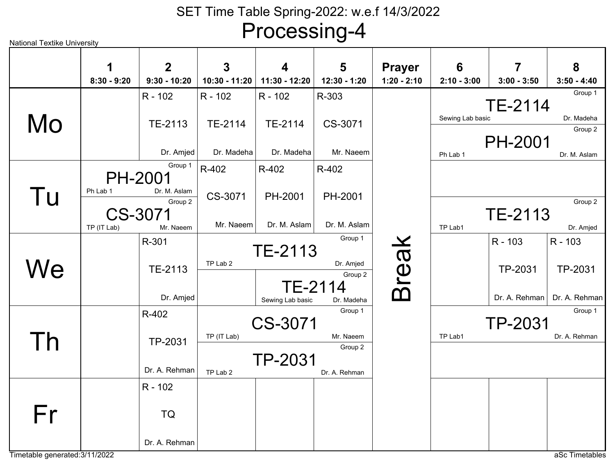| <b>National Textike University</b> |                    |                               |                    |                    | ت --                         |                                |                    |                    |                       |
|------------------------------------|--------------------|-------------------------------|--------------------|--------------------|------------------------------|--------------------------------|--------------------|--------------------|-----------------------|
|                                    | 1<br>$8:30 - 9:20$ | $\mathbf 2$<br>$9:30 - 10:20$ | 3<br>10:30 - 11:20 | 4<br>11:30 - 12:20 | 5<br>12:30 - 1:20            | <b>Prayer</b><br>$1:20 - 2:10$ | 6<br>$2:10 - 3:00$ | 7<br>$3:00 - 3:50$ | 8<br>$3:50 - 4:40$    |
|                                    |                    | R - 102                       | R - 102            | R - 102            | R-303                        |                                |                    | <b>TE-2114</b>     | Group 1               |
| Mo                                 |                    | TE-2113                       | TE-2114            | TE-2114            | CS-3071                      |                                | Sewing Lab basic   |                    | Dr. Madeha<br>Group 2 |
|                                    |                    | Dr. Amjed                     | Dr. Madeha         | Dr. Madeha         | Mr. Naeem                    |                                | Ph Lab 1           | <b>PH-2001</b>     | Dr. M. Aslam          |
|                                    |                    | Group 1<br><b>PH-2001</b>     | R-402              | R-402              | R-402                        |                                |                    |                    |                       |
| Tu                                 | Ph Lab 1           | Dr. M. Aslam<br>Group 2       | CS-3071            | PH-2001            | PH-2001                      |                                |                    |                    | Group 2               |
|                                    | TP (IT Lab)        | CS-3071<br>Mr. Naeem          | Mr. Naeem          | Dr. M. Aslam       | Dr. M. Aslam                 |                                | TP Lab1            | TE-2113            | Dr. Amjed             |
|                                    |                    | R-301                         |                    | TE-2113            | Group 1                      |                                |                    | R - 103            | R - 103               |
| We                                 |                    | TE-2113                       | TP Lab 2           |                    | Dr. Amjed<br>Group 2         | Break                          |                    | TP-2031            | TP-2031               |
|                                    |                    | Dr. Amjed                     |                    | Sewing Lab basic   | <b>TE-2114</b><br>Dr. Madeha |                                |                    | Dr. A. Rehman      | Dr. A. Rehman         |
|                                    |                    | R-402                         |                    | CS-3071            | Group 1                      |                                |                    | TP-2031            | Group 1               |
| Th                                 |                    | TP-2031                       | TP (IT Lab)        |                    | Mr. Naeem<br>Group 2         |                                | TP Lab1            |                    | Dr. A. Rehman         |
|                                    |                    | Dr. A. Rehman                 | TP Lab 2           | <b>TP-2031</b>     | Dr. A. Rehman                |                                |                    |                    |                       |
|                                    |                    | R - 102                       |                    |                    |                              |                                |                    |                    |                       |
| Fr                                 |                    | TQ                            |                    |                    |                              |                                |                    |                    |                       |
|                                    |                    | Dr. A. Rehman                 |                    |                    |                              |                                |                    |                    |                       |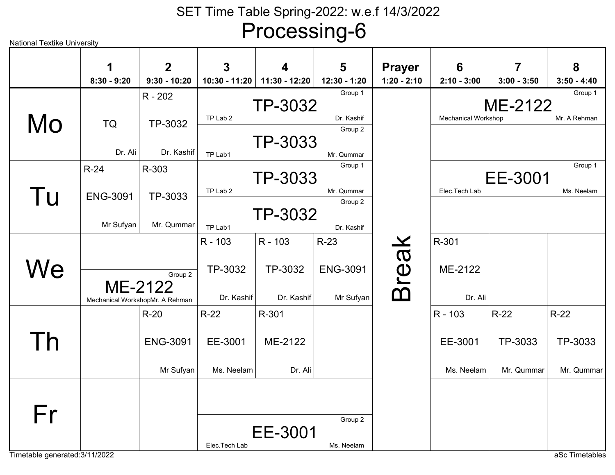| <b>National Textike University</b> |                 |                                            |               |               | ◡                     |               |                            |               |               |
|------------------------------------|-----------------|--------------------------------------------|---------------|---------------|-----------------------|---------------|----------------------------|---------------|---------------|
|                                    | 1               | $\mathbf 2$                                | 3             | 4             | 5                     | <b>Prayer</b> | 6                          | 7             | 8             |
|                                    | $8:30 - 9:20$   | $9:30 - 10:20$                             | 10:30 - 11:20 | 11:30 - 12:20 | 12:30 - 1:20          | $1:20 - 2:10$ | $2:10 - 3:00$              | $3:00 - 3:50$ | $3:50 - 4:40$ |
|                                    |                 | R - 202                                    |               | TP-3032       | Group 1               |               |                            | ME-2122       | Group 1       |
| Mo                                 | <b>TQ</b>       | TP-3032                                    | TP Lab 2      |               | Dr. Kashif<br>Group 2 |               | <b>Mechanical Workshop</b> |               | Mr. A Rehman  |
|                                    | Dr. Ali         | Dr. Kashif                                 | TP Lab1       | TP-3033       | Mr. Qummar            |               |                            |               |               |
|                                    | $R-24$          | R-303                                      |               |               | Group 1               |               |                            |               | Group 1       |
|                                    |                 |                                            |               | TP-3033       |                       |               |                            | EE-3001       |               |
| Tu                                 | <b>ENG-3091</b> | TP-3033                                    | TP Lab 2      |               | Mr. Qummar            |               | Elec.Tech Lab              |               | Ms. Neelam    |
|                                    |                 |                                            |               |               | Group 2               |               |                            |               |               |
|                                    | Mr Sufyan       | Mr. Qummar                                 |               | TP-3032       |                       |               |                            |               |               |
|                                    |                 |                                            | TP Lab1       |               | Dr. Kashif            |               |                            |               |               |
|                                    |                 |                                            | R - 103       | R - 103       | $R-23$                |               | R-301                      |               |               |
|                                    |                 |                                            |               |               |                       |               |                            |               |               |
| We                                 |                 | Group 2                                    | TP-3032       | TP-3032       | <b>ENG-3091</b>       |               | ME-2122                    |               |               |
|                                    |                 | ME-2122<br>Mechanical WorkshopMr. A Rehman | Dr. Kashif    | Dr. Kashif    | Mr Sufyan             | <b>Break</b>  | Dr. Ali                    |               |               |
|                                    |                 | $R-20$                                     | $R-22$        | R-301         |                       |               | R - 103                    | $R-22$        | $R-22$        |
| Th                                 |                 | <b>ENG-3091</b>                            | EE-3001       | ME-2122       |                       |               | EE-3001                    | TP-3033       | TP-3033       |
|                                    |                 | Mr Sufyan                                  | Ms. Neelam    | Dr. Ali       |                       |               | Ms. Neelam                 | Mr. Qummar    | Mr. Qummar    |
| Fr                                 |                 |                                            |               | EE-3001       | Group 2<br>Ms. Neelam |               |                            |               |               |
|                                    |                 |                                            | Elec.Tech Lab |               |                       |               |                            |               |               |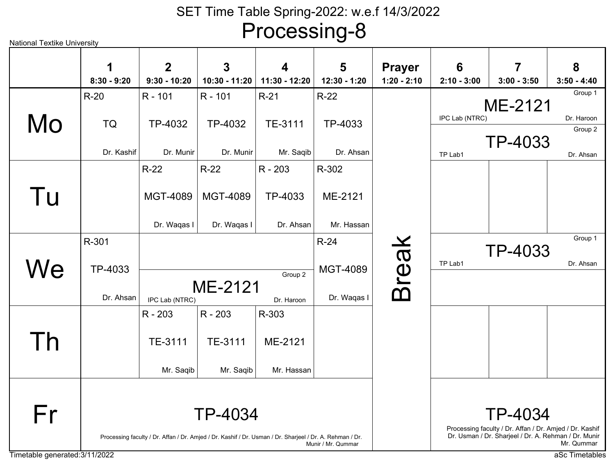National Textike UniversityTimetable generated:3/11/2022 aSc Timetables TP-4032Dr. MunirR - 101TP-4032Dr. MunirR - 101TP-4033Dr. AhsanR-22TE-3111Mr. SaqibR-21TQDr. KashifR-20TP-4033TP Lab1 Dr. Ahsan Group 2 ME-2121IPC Lab (NTRC) Dr. HaroonGroup 1TP-4033Dr. AhsanR - 203MGT-4089Dr. Waqas IR-22MGT-4089Dr. Waqas IR-22ME-2121Mr. HassanR-302TP-4033Dr. AhsanR-301MGT-4089Dr. Waqas IR-24ME-2121IPC Lab (NTRC) Dr. HaroonGroup 2TP-4033TP Lab1 Dr. Ahsan Group 1TE-3111Mr. Saqib R - 203TE-3111Mr. Saqib R - 203ME-2121Mr. HassanR-303TP-4034Processing faculty / Dr. Affan / Dr. Amjed / Dr. Kashif / Dr. Usman / Dr. Sharjeel / Dr. A. Rehman / Dr.Munir / Mr. QummarTP-4034 Processing faculty / Dr. Affan / Dr. Amjed / Dr. Kashif Dr. Usman / Dr. Sharjeel / Dr. A. Rehman / Dr. Munir Mr. QummarBreak MoTu**We** ThFr**1 8:30 - 9:202 9:30 - 10:203 10:30 - 11:204 11:30 - 12:205 12:30 - 1:20Prayer 1:20 - 2:106 2:10 - 3:007 3:00 - 3:5083:50 - 4:40**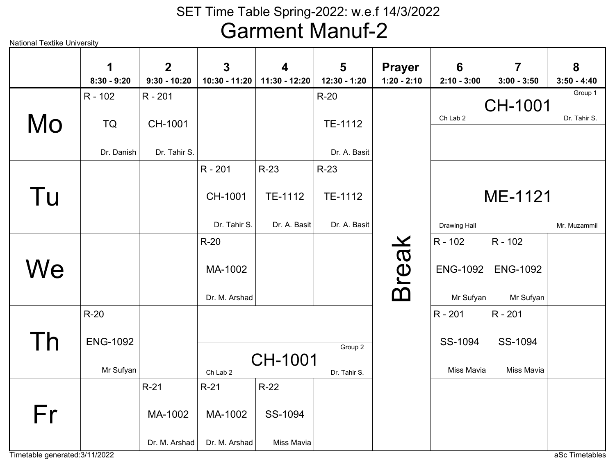|    | 1<br>$8:30 - 9:20$ | $\overline{2}$<br>$9:30 - 10:20$ | $\overline{3}$<br>10:30 - 11:20 | $\boldsymbol{4}$<br>11:30 - 12:20 | 5<br>12:30 - 1:20 | <b>Prayer</b><br>$1:20 - 2:10$ | 6<br>$2:10 - 3:00$ | $\overline{7}$<br>$3:00 - 3:50$ | 8<br>$3:50 - 4:40$ |
|----|--------------------|----------------------------------|---------------------------------|-----------------------------------|-------------------|--------------------------------|--------------------|---------------------------------|--------------------|
|    | R - 102            | R - 201                          |                                 |                                   | $R-20$            |                                |                    |                                 | Group 1            |
|    |                    |                                  |                                 |                                   |                   |                                | Ch Lab 2           | <b>CH-1001</b>                  | Dr. Tahir S.       |
| Mo | <b>TQ</b>          | CH-1001                          |                                 |                                   | TE-1112           |                                |                    |                                 |                    |
|    | Dr. Danish         | Dr. Tahir S.                     |                                 |                                   | Dr. A. Basit      |                                |                    |                                 |                    |
|    |                    |                                  | R - 201                         | $R-23$                            | $R-23$            |                                |                    |                                 |                    |
| Tu |                    |                                  | CH-1001                         | TE-1112                           | TE-1112           |                                |                    | ME-1121                         |                    |
|    |                    |                                  | Dr. Tahir S.                    | Dr. A. Basit                      | Dr. A. Basit      |                                | Drawing Hall       |                                 | Mr. Muzammil       |
|    |                    |                                  | $R-20$                          |                                   |                   |                                | R - 102            | R - 102                         |                    |
| We |                    |                                  | MA-1002                         |                                   |                   | Break                          | <b>ENG-1092</b>    | <b>ENG-1092</b>                 |                    |
|    |                    |                                  | Dr. M. Arshad                   |                                   |                   |                                | Mr Sufyan          | Mr Sufyan                       |                    |
|    | $R-20$             |                                  |                                 |                                   |                   |                                | R - 201            | R - 201                         |                    |
|    |                    |                                  |                                 |                                   |                   |                                |                    |                                 |                    |
|    | <b>ENG-1092</b>    |                                  |                                 |                                   | Group 2           |                                | SS-1094            | SS-1094                         |                    |
|    | Mr Sufyan          |                                  | Ch Lab 2                        | CH-1001                           | Dr. Tahir S.      |                                | Miss Mavia         | Miss Mavia                      |                    |
|    |                    | $R-21$                           | $R-21$                          | $R-22$                            |                   |                                |                    |                                 |                    |
| Fr |                    | MA-1002                          | MA-1002                         | SS-1094                           |                   |                                |                    |                                 |                    |
|    |                    | Dr. M. Arshad                    | Dr. M. Arshad                   | Miss Mavia                        |                   |                                |                    |                                 |                    |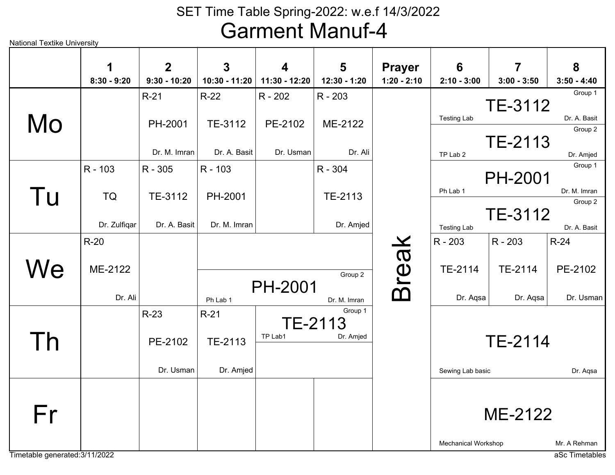National Textike University

| 1 | $\overline{2}$                                             | $\mathbf{3}$                                                                              | 4                            | 5                                                                         | <b>Prayer</b>                                                                           | 6                                          | $\overline{7}$                                                                  | 8                                                                                                                                                                                 |
|---|------------------------------------------------------------|-------------------------------------------------------------------------------------------|------------------------------|---------------------------------------------------------------------------|-----------------------------------------------------------------------------------------|--------------------------------------------|---------------------------------------------------------------------------------|-----------------------------------------------------------------------------------------------------------------------------------------------------------------------------------|
|   |                                                            |                                                                                           |                              |                                                                           |                                                                                         |                                            |                                                                                 | $3:50 - 4:40$                                                                                                                                                                     |
|   |                                                            |                                                                                           | R - 202                      |                                                                           |                                                                                         |                                            |                                                                                 | Group 1                                                                                                                                                                           |
|   |                                                            |                                                                                           |                              |                                                                           |                                                                                         |                                            |                                                                                 | Dr. A. Basit                                                                                                                                                                      |
|   | PH-2001                                                    | TE-3112                                                                                   | PE-2102                      | ME-2122                                                                   |                                                                                         |                                            |                                                                                 | Group 2                                                                                                                                                                           |
|   |                                                            |                                                                                           |                              |                                                                           |                                                                                         |                                            |                                                                                 |                                                                                                                                                                                   |
|   | Dr. M. Imran                                               |                                                                                           | Dr. Usman                    | Dr. Ali                                                                   |                                                                                         | TP Lab 2                                   |                                                                                 | Dr. Amjed                                                                                                                                                                         |
|   |                                                            |                                                                                           |                              |                                                                           |                                                                                         |                                            |                                                                                 | Group 1                                                                                                                                                                           |
|   |                                                            |                                                                                           |                              |                                                                           |                                                                                         |                                            |                                                                                 |                                                                                                                                                                                   |
|   |                                                            |                                                                                           |                              |                                                                           |                                                                                         | Ph Lab 1                                   |                                                                                 | Dr. M. Imran                                                                                                                                                                      |
|   |                                                            |                                                                                           |                              |                                                                           |                                                                                         |                                            |                                                                                 | Group 2                                                                                                                                                                           |
|   |                                                            |                                                                                           |                              |                                                                           |                                                                                         |                                            |                                                                                 |                                                                                                                                                                                   |
|   |                                                            |                                                                                           |                              |                                                                           |                                                                                         |                                            |                                                                                 | Dr. A. Basit                                                                                                                                                                      |
|   |                                                            |                                                                                           |                              |                                                                           |                                                                                         |                                            |                                                                                 | $R-24$                                                                                                                                                                            |
|   |                                                            |                                                                                           |                              |                                                                           |                                                                                         |                                            |                                                                                 |                                                                                                                                                                                   |
|   |                                                            |                                                                                           |                              | Group 2                                                                   |                                                                                         |                                            |                                                                                 | PE-2102                                                                                                                                                                           |
|   |                                                            |                                                                                           |                              |                                                                           |                                                                                         |                                            |                                                                                 |                                                                                                                                                                                   |
|   |                                                            | Ph Lab 1                                                                                  |                              | Dr. M. Imran                                                              |                                                                                         | Dr. Aqsa                                   |                                                                                 | Dr. Usman                                                                                                                                                                         |
|   | $R-23$                                                     | $R-21$                                                                                    |                              | Group 1                                                                   |                                                                                         |                                            |                                                                                 |                                                                                                                                                                                   |
|   |                                                            |                                                                                           |                              |                                                                           |                                                                                         |                                            |                                                                                 |                                                                                                                                                                                   |
|   | PE-2102                                                    | TE-2113                                                                                   |                              |                                                                           |                                                                                         |                                            |                                                                                 |                                                                                                                                                                                   |
|   |                                                            |                                                                                           |                              |                                                                           |                                                                                         |                                            |                                                                                 |                                                                                                                                                                                   |
|   | Dr. Usman                                                  | Dr. Amjed                                                                                 |                              |                                                                           |                                                                                         |                                            |                                                                                 | Dr. Aqsa                                                                                                                                                                          |
|   |                                                            |                                                                                           |                              |                                                                           |                                                                                         |                                            |                                                                                 |                                                                                                                                                                                   |
|   |                                                            |                                                                                           |                              |                                                                           |                                                                                         |                                            |                                                                                 |                                                                                                                                                                                   |
|   |                                                            |                                                                                           |                              |                                                                           |                                                                                         |                                            |                                                                                 |                                                                                                                                                                                   |
|   |                                                            |                                                                                           |                              |                                                                           |                                                                                         |                                            |                                                                                 |                                                                                                                                                                                   |
|   |                                                            |                                                                                           |                              |                                                                           |                                                                                         |                                            |                                                                                 | Mr. A Rehman                                                                                                                                                                      |
|   | $8:30 - 9:20$<br>R - 103<br><b>TQ</b><br>$R-20$<br>ME-2122 | $9:30 - 10:20$<br>$R-21$<br>R - 305<br>TE-3112<br>Dr. Zulfiqar<br>Dr. A. Basit<br>Dr. Ali | $R-22$<br>R - 103<br>PH-2001 | 10:30 - 11:20<br>11:30 - 12:20<br>Dr. A. Basit<br>Dr. M. Imran<br>TP Lab1 | 12:30 - 1:20<br>R - 203<br>R - 304<br>TE-2113<br><b>PH-2001</b><br>TE-2113<br>Dr. Amjed | $1:20 - 2:10$<br>Dr. Amjed<br><b>Break</b> | $2:10 - 3:00$<br><b>Testing Lab</b><br><b>Testing Lab</b><br>R - 203<br>TE-2114 | $3:00 - 3:50$<br>TE-3112<br>TE-2113<br><b>PH-2001</b><br>TE-3112<br>R - 203<br>TE-2114<br>Dr. Aqsa<br><b>TE-2114</b><br>Sewing Lab basic<br>ME-2122<br><b>Mechanical Workshop</b> |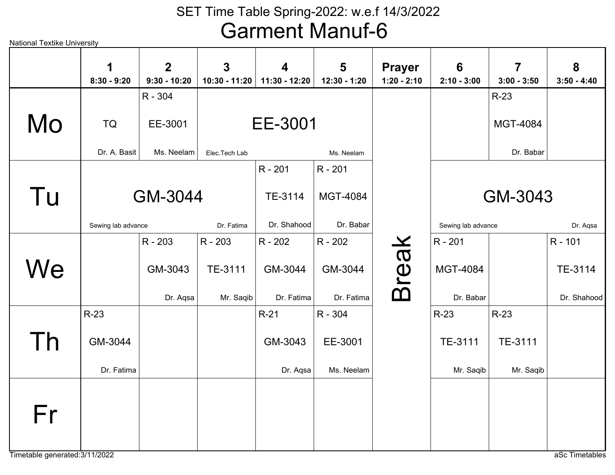| <b>National Textike University</b> |                    |                                  |                                 |                                          |                   |                                |                                  |                                 |                    |
|------------------------------------|--------------------|----------------------------------|---------------------------------|------------------------------------------|-------------------|--------------------------------|----------------------------------|---------------------------------|--------------------|
|                                    | 1<br>$8:30 - 9:20$ | $\overline{2}$<br>$9:30 - 10:20$ | $\overline{3}$<br>10:30 - 11:20 | $\overline{\mathbf{4}}$<br>11:30 - 12:20 | 5<br>12:30 - 1:20 | <b>Prayer</b><br>$1:20 - 2:10$ | $6\phantom{1}6$<br>$2:10 - 3:00$ | $\overline{7}$<br>$3:00 - 3:50$ | 8<br>$3:50 - 4:40$ |
|                                    |                    | R - 304                          |                                 |                                          |                   |                                |                                  | $R-23$                          |                    |
| Mo                                 | TQ                 | EE-3001                          |                                 | EE-3001                                  |                   |                                |                                  | MGT-4084                        |                    |
|                                    | Dr. A. Basit       | Ms. Neelam                       | Elec.Tech Lab                   |                                          | Ms. Neelam        |                                |                                  | Dr. Babar                       |                    |
|                                    |                    |                                  |                                 | R - 201                                  | R - 201           |                                |                                  |                                 |                    |
| Tu                                 |                    | GM-3044                          |                                 | TE-3114                                  | <b>MGT-4084</b>   |                                |                                  | GM-3043                         |                    |
|                                    | Sewing lab advance |                                  | Dr. Fatima                      | Dr. Shahood                              | Dr. Babar         |                                | Sewing lab advance               |                                 | Dr. Aqsa           |
|                                    |                    | R - 203                          | R - 203                         | R - 202                                  | R - 202           |                                | R - 201                          |                                 | R - 101            |
| We                                 |                    | GM-3043                          | TE-3111                         | GM-3044                                  | GM-3044           | <b>Break</b>                   | <b>MGT-4084</b>                  |                                 | TE-3114            |
|                                    |                    | Dr. Aqsa                         | Mr. Saqib                       | Dr. Fatima                               | Dr. Fatima        |                                | Dr. Babar                        |                                 | Dr. Shahood        |
|                                    | $R-23$             |                                  |                                 | $R-21$                                   | R - 304           |                                | $R-23$                           | $R-23$                          |                    |
| Th                                 | GM-3044            |                                  |                                 | GM-3043                                  | EE-3001           |                                | TE-3111                          | TE-3111                         |                    |
|                                    | Dr. Fatima         |                                  |                                 | Dr. Aqsa                                 | Ms. Neelam        |                                | Mr. Saqib                        | Mr. Saqib                       |                    |
| Fr                                 |                    |                                  |                                 |                                          |                   |                                |                                  |                                 |                    |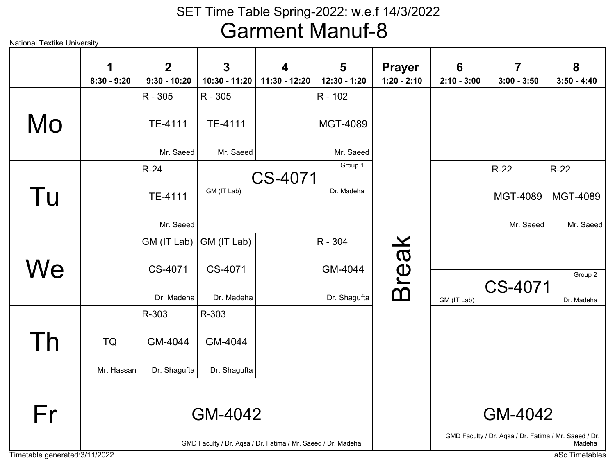National Textike University

|    | 1<br>$8:30 - 9:20$ | $\overline{2}$<br>$9:30 - 10:20$ | $\mathbf{3}$<br>$10:30 - 11:20$                              | 4<br>11:30 - 12:20 | 5<br>12:30 - 1:20 | <b>Prayer</b><br>$1:20 - 2:10$ | $6\phantom{1}6$<br>$2:10 - 3:00$ | $\overline{7}$<br>$3:00 - 3:50$                       | 8<br>$3:50 - 4:40$ |
|----|--------------------|----------------------------------|--------------------------------------------------------------|--------------------|-------------------|--------------------------------|----------------------------------|-------------------------------------------------------|--------------------|
|    |                    | R - 305                          | R - 305                                                      |                    | R - 102           |                                |                                  |                                                       |                    |
| Mo |                    | TE-4111                          | TE-4111                                                      |                    | <b>MGT-4089</b>   |                                |                                  |                                                       |                    |
|    |                    | Mr. Saeed                        | Mr. Saeed                                                    |                    | Mr. Saeed         |                                |                                  |                                                       |                    |
|    |                    | $R-24$                           |                                                              |                    | Group 1           |                                |                                  | $R-22$                                                | $R-22$             |
| Tu |                    | TE-4111                          | GM (IT Lab)                                                  | CS-4071            | Dr. Madeha        |                                |                                  | MGT-4089                                              | <b>MGT-4089</b>    |
|    |                    | Mr. Saeed                        |                                                              |                    |                   |                                |                                  | Mr. Saeed                                             | Mr. Saeed          |
|    |                    | GM (IT Lab)                      | GM (IT Lab)                                                  |                    | R - 304           |                                |                                  |                                                       |                    |
|    |                    |                                  |                                                              |                    |                   |                                |                                  |                                                       |                    |
| We |                    | CS-4071                          | CS-4071                                                      |                    | GM-4044           |                                |                                  |                                                       | Group 2            |
|    |                    | Dr. Madeha                       | Dr. Madeha                                                   |                    | Dr. Shagufta      | <b>Break</b>                   | GM (IT Lab)                      | CS-4071                                               | Dr. Madeha         |
|    |                    | R-303                            | R-303                                                        |                    |                   |                                |                                  |                                                       |                    |
| Th | <b>TQ</b>          | GM-4044                          | GM-4044                                                      |                    |                   |                                |                                  |                                                       |                    |
|    | Mr. Hassan         | Dr. Shagufta                     | Dr. Shagufta                                                 |                    |                   |                                |                                  |                                                       |                    |
|    |                    |                                  |                                                              |                    |                   |                                |                                  |                                                       |                    |
| Fr |                    |                                  | GM-4042                                                      |                    |                   |                                |                                  | GM-4042                                               |                    |
|    |                    |                                  | GMD Faculty / Dr. Aqsa / Dr. Fatima / Mr. Saeed / Dr. Madeha |                    |                   |                                |                                  | GMD Faculty / Dr. Aqsa / Dr. Fatima / Mr. Saeed / Dr. | Madeha             |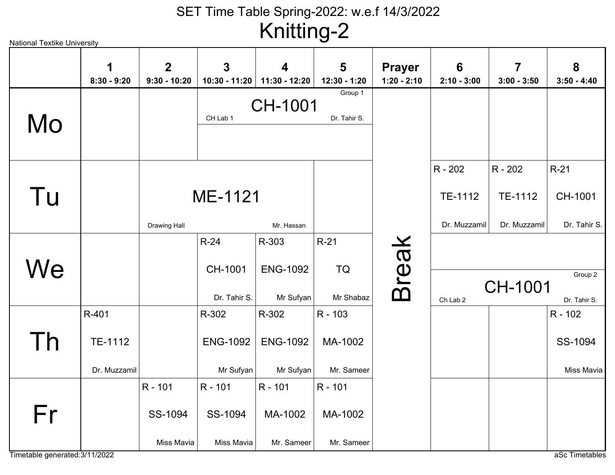National Textike UniversityCH-1001CH Lab 1 Dr. Tahir S. Group 1ME-1121Drawing Hall Mr. HassanCH-1001Dr. Tahir S. R-21TE-1112Dr. MuzzamilR - 202TE-1112Dr. MuzzamilR - 202CH-1001Dr. Tahir S.R-24ENG-1092Mr SufyanR-303TQMr ShabazR-21CH-1001Ch Lab 2 Dr. Tahir S. Group 2ENG-1092Mr SufyanR-302ENG-1092Mr SufyanR-302MA-1002Mr. SameerR - 103TE-1112Dr. MuzzamilR-401SS-1094Miss MaviaR - 102MA-1002Mr. SameerR - 101MA-1002Mr. SameerR - 101SS-1094Miss MaviaR - 101SS-1094Miss MaviaR - 101Break MoTu**We** ThFr**1 8:30 - 9:202 9:30 - 10:203 10:30 - 11:204 11:30 - 12:205 12:30 - 1:20Prayer 1:20 - 2:106 2:10 - 3:007 3:00 - 3:5083:50 - 4:40**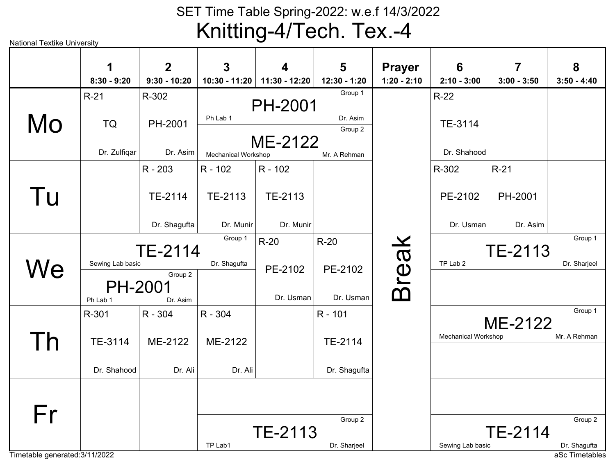#### SET Time Table Spring-2022: w.e.f 14/3/2022Knitting-4/Tech. Tex.-4

|    | 1                          | $\overline{2}$      | $\mathbf{3}$        | 4              | 5                   | <b>Prayer</b> | 6                          | $\overline{7}$ | 8             |
|----|----------------------------|---------------------|---------------------|----------------|---------------------|---------------|----------------------------|----------------|---------------|
|    | $8:30 - 9:20$              | $9:30 - 10:20$      | 10:30 - 11:20       | 11:30 - 12:20  | 12:30 - 1:20        | $1:20 - 2:10$ | $2:10 - 3:00$              | $3:00 - 3:50$  | $3:50 - 4:40$ |
|    | $R-21$                     | R-302               |                     | <b>PH-2001</b> | Group 1             |               | $R-22$                     |                |               |
| Mo | <b>TQ</b>                  | PH-2001             | Ph Lab 1            |                | Dr. Asim<br>Group 2 |               | TE-3114                    |                |               |
|    | Dr. Zulfiqar               | Dr. Asim            | Mechanical Workshop | ME-2122        | Mr. A Rehman        |               | Dr. Shahood                |                |               |
|    |                            | R - 203             | $R - 102$           | $R - 102$      |                     |               | R-302                      | $R-21$         |               |
| Tu |                            | TE-2114             | TE-2113             | TE-2113        |                     |               | PE-2102                    | PH-2001        |               |
|    |                            | Dr. Shagufta        | Dr. Munir           | Dr. Munir      |                     |               | Dr. Usman                  | Dr. Asim       |               |
|    |                            | TE-2114             | Group 1             | $R-20$         | $R-20$              |               |                            | TE-2113        | Group 1       |
| We | Sewing Lab basic           |                     | Dr. Shagufta        | PE-2102        | PE-2102             |               | TP Lab 2                   |                | Dr. Sharjeel  |
|    | <b>PH-2001</b><br>Ph Lab 1 | Group 2<br>Dr. Asim |                     | Dr. Usman      | Dr. Usman           | <b>Break</b>  |                            |                |               |
|    | R-301                      | R - 304             | R - 304             |                | R - 101             |               |                            |                | Group 1       |
|    |                            |                     |                     |                |                     |               | <b>Mechanical Workshop</b> | ME-2122        | Mr. A Rehman  |
| Th | TE-3114                    | ME-2122             | ME-2122             |                | TE-2114             |               |                            |                |               |
|    | Dr. Shahood                | Dr. Ali             | Dr. Ali             |                | Dr. Shagufta        |               |                            |                |               |
|    |                            |                     |                     |                |                     |               |                            |                |               |
| Fr |                            |                     |                     |                | Group 2             |               |                            |                | Group 2       |
|    |                            |                     |                     | TE-2113        |                     |               |                            | <b>TE-2114</b> |               |
|    |                            |                     | TP Lab1             |                | Dr. Sharjeel        |               | Sewing Lab basic           |                | Dr. Shagufta  |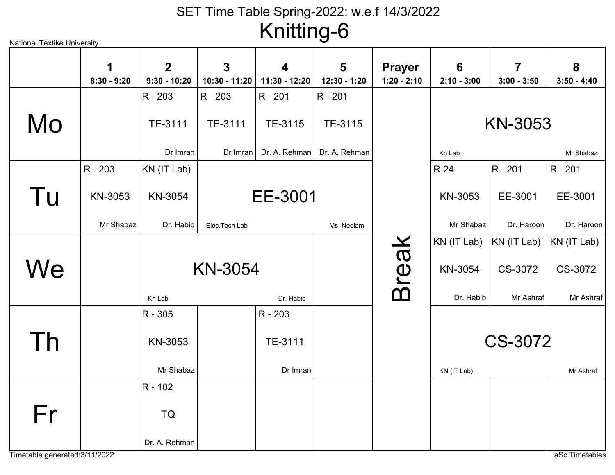| National Textike University |                    |                                  |                    |                    | ◡                 |                                |                    |                    |                    |
|-----------------------------|--------------------|----------------------------------|--------------------|--------------------|-------------------|--------------------------------|--------------------|--------------------|--------------------|
|                             | 1<br>$8:30 - 9:20$ | $\overline{2}$<br>$9:30 - 10:20$ | 3<br>10:30 - 11:20 | 4<br>11:30 - 12:20 | 5<br>12:30 - 1:20 | <b>Prayer</b><br>$1:20 - 2:10$ | 6<br>$2:10 - 3:00$ | 7<br>$3:00 - 3:50$ | 8<br>$3:50 - 4:40$ |
|                             |                    | R - 203                          | R - 203            | R - 201            | R - 201           |                                |                    |                    |                    |
| Mo                          |                    | TE-3111                          | TE-3111            | TE-3115            | TE-3115           |                                |                    | <b>KN-3053</b>     |                    |
|                             |                    | Dr Imran                         | Dr Imran           | Dr. A. Rehman      | Dr. A. Rehman     |                                | Kn Lab             |                    | Mr Shabaz          |
|                             | R - 203            | KN (IT Lab)                      |                    |                    |                   |                                | $R-24$             | R - 201            | R - 201            |
| Tu                          | KN-3053            | KN-3054                          |                    | EE-3001            |                   |                                | KN-3053            | EE-3001            | EE-3001            |
|                             | Mr Shabaz          | Dr. Habib                        | Elec.Tech Lab      |                    | Ms. Neelam        |                                | Mr Shabaz          | Dr. Haroon         | Dr. Haroon         |
|                             |                    |                                  |                    |                    |                   |                                | KN (IT Lab)        | KN (IT Lab)        | KN (IT Lab)        |
| We                          |                    |                                  | <b>KN-3054</b>     |                    |                   | <b>Break</b>                   | KN-3054            | CS-3072            | CS-3072            |
|                             |                    | Kn Lab                           |                    | Dr. Habib          |                   |                                | Dr. Habib          | Mr Ashraf          | Mr Ashraf          |
|                             |                    | R - 305                          |                    | R - 203            |                   |                                |                    |                    |                    |
| Th                          |                    | KN-3053                          |                    | TE-3111            |                   |                                |                    | <b>CS-3072</b>     |                    |
|                             |                    | Mr Shabaz                        |                    | Dr Imran           |                   |                                | KN (IT Lab)        |                    | Mr Ashraf          |
|                             |                    | R - 102                          |                    |                    |                   |                                |                    |                    |                    |
| Fr                          |                    | TQ                               |                    |                    |                   |                                |                    |                    |                    |
|                             |                    | Dr. A. Rehman                    |                    |                    |                   |                                |                    |                    |                    |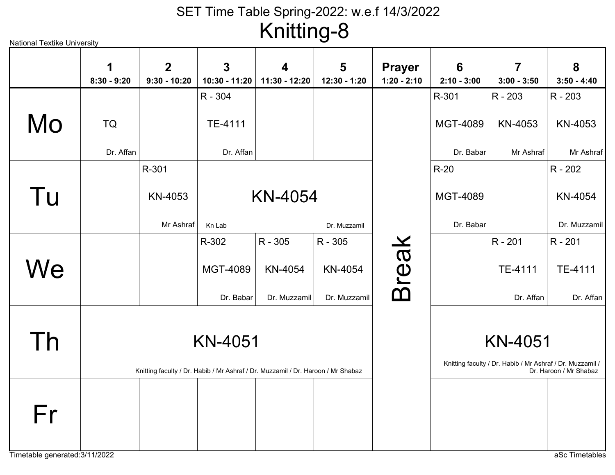| <b>National Textike University</b> |                    |                                                                                  |                    | ີ່ສ                |                   |                                |                                  |                                                                             |                        |
|------------------------------------|--------------------|----------------------------------------------------------------------------------|--------------------|--------------------|-------------------|--------------------------------|----------------------------------|-----------------------------------------------------------------------------|------------------------|
|                                    | 1<br>$8:30 - 9:20$ | $\boldsymbol{2}$<br>$9:30 - 10:20$                                               | 3<br>10:30 - 11:20 | 4<br>11:30 - 12:20 | 5<br>12:30 - 1:20 | <b>Prayer</b><br>$1:20 - 2:10$ | $6\phantom{1}6$<br>$2:10 - 3:00$ | 7<br>$3:00 - 3:50$                                                          | 8<br>$3:50 - 4:40$     |
|                                    |                    |                                                                                  | R - 304            |                    |                   |                                | R-301                            | $R - 203$                                                                   | R - 203                |
| Mo                                 | TQ                 |                                                                                  | TE-4111            |                    |                   |                                | MGT-4089                         | KN-4053                                                                     | KN-4053                |
|                                    | Dr. Affan          |                                                                                  | Dr. Affan          |                    |                   |                                | Dr. Babar                        | Mr Ashraf                                                                   | Mr Ashraf              |
|                                    |                    | R-301                                                                            |                    |                    |                   |                                | $R-20$                           |                                                                             | R - 202                |
| Tu                                 |                    | KN-4053                                                                          |                    | <b>KN-4054</b>     |                   |                                | <b>MGT-4089</b>                  |                                                                             | KN-4054                |
|                                    |                    | Mr Ashraf                                                                        | Kn Lab             |                    | Dr. Muzzamil      |                                | Dr. Babar                        |                                                                             | Dr. Muzzamil           |
|                                    |                    |                                                                                  | R-302              | R - 305            | R - 305           |                                |                                  | R - 201                                                                     | R - 201                |
| We                                 |                    |                                                                                  | <b>MGT-4089</b>    | KN-4054            | KN-4054           | <b>Break</b>                   |                                  | TE-4111                                                                     | TE-4111                |
|                                    |                    |                                                                                  | Dr. Babar          | Dr. Muzzamil       | Dr. Muzzamil      |                                |                                  | Dr. Affan                                                                   | Dr. Affan              |
| Th                                 |                    | Knitting faculty / Dr. Habib / Mr Ashraf / Dr. Muzzamil / Dr. Haroon / Mr Shabaz | <b>KN-4051</b>     |                    |                   |                                |                                  | <b>KN-4051</b><br>Knitting faculty / Dr. Habib / Mr Ashraf / Dr. Muzzamil / | Dr. Haroon / Mr Shabaz |
| Fr                                 |                    |                                                                                  |                    |                    |                   |                                |                                  |                                                                             |                        |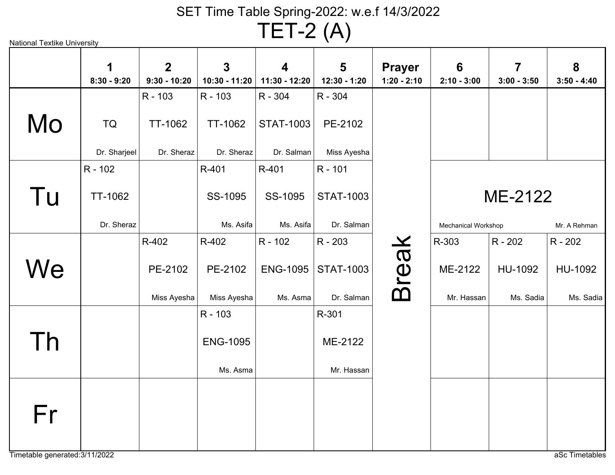TET-2 (A)

|               | 1<br>$8:30 - 9:20$ | 2 <sup>1</sup><br>$9:30 - 10:20$ | $\mathbf{3}$<br>10:30 - 11:20 | $\overline{\mathbf{4}}$<br>$11:30 - 12:20$ | 5<br>12:30 - 1:20 | <b>Prayer</b><br>$1:20 - 2:10$ | 6<br>$2:10 - 3:00$  | $\overline{7}$<br>$3:00 - 3:50$ | 8<br>$3:50 - 4:40$ |
|---------------|--------------------|----------------------------------|-------------------------------|--------------------------------------------|-------------------|--------------------------------|---------------------|---------------------------------|--------------------|
|               |                    | R - 103                          | R - 103                       | R - 304                                    | R - 304           |                                |                     |                                 |                    |
| Mo            | <b>TQ</b>          | <b>TT-1062</b>                   | TT-1062                       | <b>STAT-1003</b>                           | PE-2102           |                                |                     |                                 |                    |
|               | Dr. Sharjeel       | Dr. Sheraz                       | Dr. Sheraz                    | Dr. Salman                                 | Miss Ayesha       |                                |                     |                                 |                    |
|               | R - 102            |                                  | R-401                         | R-401                                      | R - 101           |                                |                     |                                 |                    |
| Tu            | TT-1062            |                                  | SS-1095                       | SS-1095                                    | <b>STAT-1003</b>  |                                |                     | ME-2122                         |                    |
|               | Dr. Sheraz         |                                  | Ms. Asifa                     | Ms. Asifa                                  | Dr. Salman        |                                | Mechanical Workshop |                                 | Mr. A Rehman       |
|               |                    | R-402                            | R-402                         | R - 102                                    | R - 203           |                                | R-303               | R - 202                         | R - 202            |
| $N\mathbf{e}$ |                    | PE-2102                          | PE-2102                       | <b>ENG-1095</b>                            | <b>STAT-1003</b>  | <b>Break</b>                   | ME-2122             | HU-1092                         | HU-1092            |
|               |                    | Miss Ayesha                      | Miss Ayesha                   | Ms. Asma                                   | Dr. Salman        |                                | Mr. Hassan          | Ms. Sadia                       | Ms. Sadia          |
|               |                    |                                  | R - 103                       |                                            | R-301             |                                |                     |                                 |                    |
| Γh            |                    |                                  | <b>ENG-1095</b>               |                                            | ME-2122           |                                |                     |                                 |                    |
|               |                    |                                  | Ms. Asma                      |                                            | Mr. Hassan        |                                |                     |                                 |                    |
| Fr            |                    |                                  |                               |                                            |                   |                                |                     |                                 |                    |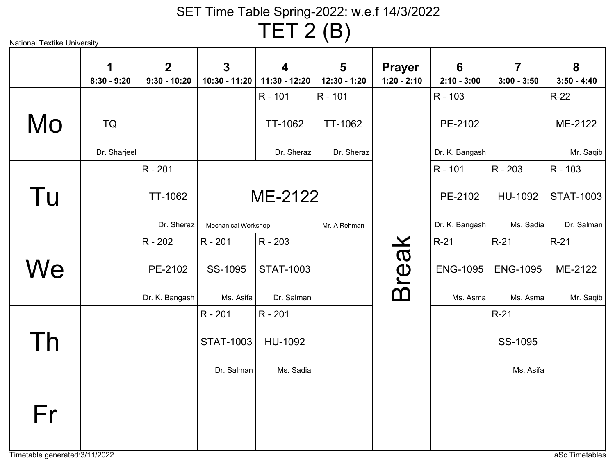TET 2 (B)

| <b>National Textike University</b> |  |
|------------------------------------|--|
|                                    |  |

|    | 1<br>$8:30 - 9:20$ | 2 <sup>1</sup><br>$9:30 - 10:20$ | $\mathbf{3}$<br>$10:30 - 11:20$ | $\overline{\mathbf{4}}$<br>11:30 - 12:20 | 5<br>12:30 - 1:20 | <b>Prayer</b><br>$1:20 - 2:10$ | 6<br>$2:10 - 3:00$ | $\overline{7}$<br>$3:00 - 3:50$ | 8<br>$3:50 - 4:40$ |
|----|--------------------|----------------------------------|---------------------------------|------------------------------------------|-------------------|--------------------------------|--------------------|---------------------------------|--------------------|
|    |                    |                                  |                                 | R - 101                                  | R - 101           |                                | R - 103            |                                 | $R-22$             |
| Mo | TQ                 |                                  |                                 | <b>TT-1062</b>                           | <b>TT-1062</b>    |                                | PE-2102            |                                 | ME-2122            |
|    | Dr. Sharjeel       |                                  |                                 | Dr. Sheraz                               | Dr. Sheraz        |                                | Dr. K. Bangash     |                                 | Mr. Saqib          |
|    |                    | R - 201                          |                                 |                                          |                   |                                | R - 101            | R - 203                         | R - 103            |
| Tu |                    | <b>TT-1062</b>                   |                                 | ME-2122                                  |                   |                                | PE-2102            | HU-1092                         | <b>STAT-1003</b>   |
|    |                    | Dr. Sheraz                       | Mechanical Workshop             |                                          | Mr. A Rehman      |                                | Dr. K. Bangash     | Ms. Sadia                       | Dr. Salman         |
|    |                    | R - 202                          | R - 201                         | R - 203                                  |                   |                                | $R-21$             | $R-21$                          | $R-21$             |
| We |                    | PE-2102                          | SS-1095                         | <b>STAT-1003</b>                         |                   | <b>Break</b>                   | <b>ENG-1095</b>    | <b>ENG-1095</b>                 | ME-2122            |
|    |                    | Dr. K. Bangash                   | Ms. Asifa                       | Dr. Salman                               |                   |                                | Ms. Asma           | Ms. Asma                        | Mr. Saqib          |
|    |                    |                                  | R - 201                         | R - 201                                  |                   |                                |                    | $R-21$                          |                    |
| Th |                    |                                  | <b>STAT-1003</b>                | HU-1092                                  |                   |                                |                    | SS-1095                         |                    |
|    |                    |                                  | Dr. Salman                      | Ms. Sadia                                |                   |                                |                    | Ms. Asifa                       |                    |
| Fr |                    |                                  |                                 |                                          |                   |                                |                    |                                 |                    |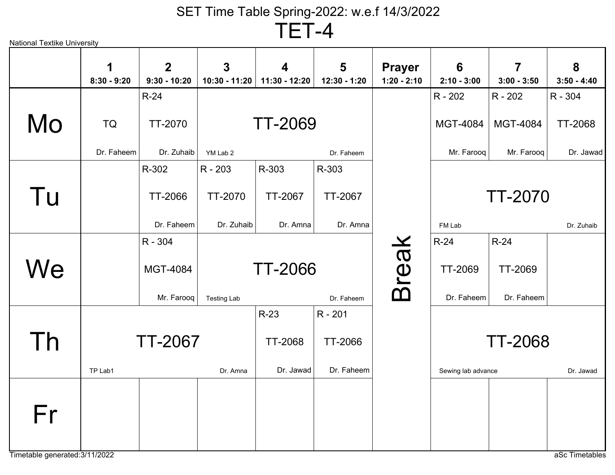TET-4

| National Textike University |                                  |                    |                                                                                         |                   |                                  |                                          |                                 |                                                        |
|-----------------------------|----------------------------------|--------------------|-----------------------------------------------------------------------------------------|-------------------|----------------------------------|------------------------------------------|---------------------------------|--------------------------------------------------------|
| 1<br>$8:30 - 9:20$          | $\overline{2}$<br>$9:30 - 10:20$ | $\mathbf{3}$       | 4<br>11:30 - 12:20                                                                      | 5<br>12:30 - 1:20 | <b>Prayer</b><br>$1:20 - 2:10$   | 6<br>$2:10 - 3:00$                       | $\overline{7}$<br>$3:00 - 3:50$ | 8<br>$3:50 - 4:40$                                     |
|                             | $R-24$                           |                    |                                                                                         |                   |                                  | R - 202                                  | R - 202                         | R - 304                                                |
| TQ                          | <b>TT-2070</b>                   |                    |                                                                                         |                   |                                  | <b>MGT-4084</b>                          | <b>MGT-4084</b>                 | <b>TT-2068</b>                                         |
| Dr. Faheem                  |                                  | YM Lab 2           |                                                                                         | Dr. Faheem        |                                  | Mr. Farooq                               | Mr. Farooq                      | Dr. Jawad                                              |
|                             | R-302                            | R - 203            | R-303                                                                                   | R-303             |                                  |                                          |                                 |                                                        |
|                             | <b>TT-2066</b>                   | TT-2070            | TT-2067                                                                                 | TT-2067           |                                  |                                          |                                 |                                                        |
|                             |                                  |                    | Dr. Amna                                                                                | Dr. Amna          |                                  | FM Lab                                   |                                 | Dr. Zuhaib                                             |
|                             | R - 304                          |                    |                                                                                         |                   |                                  | $R-24$                                   | $R-24$                          |                                                        |
|                             | MGT-4084                         |                    |                                                                                         |                   |                                  | <b>TT-2069</b>                           | <b>TT-2069</b>                  |                                                        |
|                             |                                  | <b>Testing Lab</b> |                                                                                         | Dr. Faheem        |                                  | Dr. Faheem                               | Dr. Faheem                      |                                                        |
|                             |                                  |                    | $R-23$                                                                                  | R - 201           |                                  |                                          |                                 |                                                        |
|                             |                                  |                    | <b>TT-2068</b>                                                                          | TT-2066           |                                  |                                          |                                 |                                                        |
| TP Lab1                     |                                  | Dr. Amna           | Dr. Jawad                                                                               | Dr. Faheem        |                                  |                                          |                                 | Dr. Jawad                                              |
|                             |                                  |                    |                                                                                         |                   |                                  |                                          |                                 |                                                        |
|                             |                                  |                    |                                                                                         |                   |                                  |                                          |                                 |                                                        |
|                             |                                  |                    | 10:30 - 11:20<br>Dr. Zuhaib<br>Dr. Faheem<br>Dr. Zuhaib<br>Mr. Farooq<br><b>TT-2067</b> |                   | <b>TT-2069</b><br><b>TT-2066</b> | $\boldsymbol{\varkappa}$<br><b>Breal</b> |                                 | <b>TT-2070</b><br><b>TT-2068</b><br>Sewing lab advance |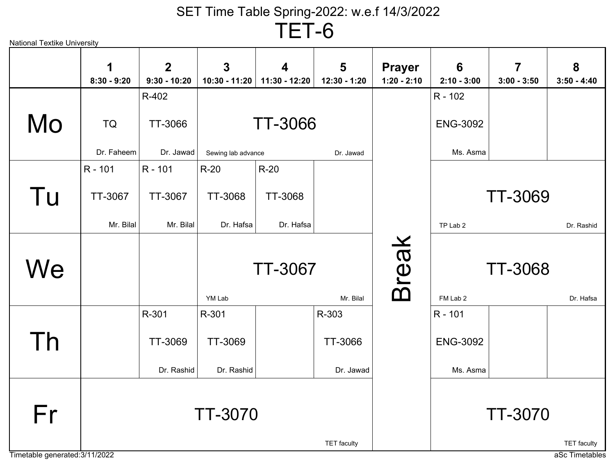TET-6

| <b>National Textike University</b> |                    |                                |                               |                                   |                    |                                |                    |                                 |                    |
|------------------------------------|--------------------|--------------------------------|-------------------------------|-----------------------------------|--------------------|--------------------------------|--------------------|---------------------------------|--------------------|
|                                    | 1<br>$8:30 - 9:20$ | $\mathbf{2}$<br>$9:30 - 10:20$ | $\mathbf{3}$<br>10:30 - 11:20 | $\boldsymbol{4}$<br>11:30 - 12:20 | 5<br>12:30 - 1:20  | <b>Prayer</b><br>$1:20 - 2:10$ | 6<br>$2:10 - 3:00$ | $\overline{7}$<br>$3:00 - 3:50$ | 8<br>$3:50 - 4:40$ |
|                                    |                    | R-402                          |                               |                                   |                    |                                | R - 102            |                                 |                    |
| Mo                                 | TQ                 | TT-3066                        |                               | <b>TT-3066</b>                    |                    |                                | <b>ENG-3092</b>    |                                 |                    |
|                                    | Dr. Faheem         | Dr. Jawad                      | Sewing lab advance            |                                   | Dr. Jawad          |                                | Ms. Asma           |                                 |                    |
|                                    | R - 101            | R - 101                        | $R-20$                        | $R-20$                            |                    |                                |                    |                                 |                    |
| Tu                                 | TT-3067            | TT-3067                        | <b>TT-3068</b>                | TT-3068                           |                    |                                |                    | <b>TT-3069</b>                  |                    |
|                                    | Mr. Bilal          | Mr. Bilal                      | Dr. Hafsa                     | Dr. Hafsa                         |                    |                                | TP Lab 2           |                                 | Dr. Rashid         |
| We                                 |                    |                                | YM Lab                        | <b>TT-3067</b>                    | Mr. Bilal          | <b>Break</b>                   | FM Lab 2           | <b>TT-3068</b>                  | Dr. Hafsa          |
|                                    |                    | R-301                          | R-301                         |                                   | R-303              |                                | R - 101            |                                 |                    |
| Th                                 |                    | TT-3069                        | TT-3069                       |                                   | TT-3066            |                                | <b>ENG-3092</b>    |                                 |                    |
|                                    |                    | Dr. Rashid                     | Dr. Rashid                    |                                   | Dr. Jawad          |                                | Ms. Asma           |                                 |                    |
| Fr                                 |                    |                                | <b>TT-3070</b>                |                                   | <b>TET</b> faculty |                                |                    | <b>TT-3070</b>                  | <b>TET</b> faculty |
| Timetable generated: 3/11/2022     |                    |                                |                               |                                   |                    |                                |                    |                                 | aSc Timetables     |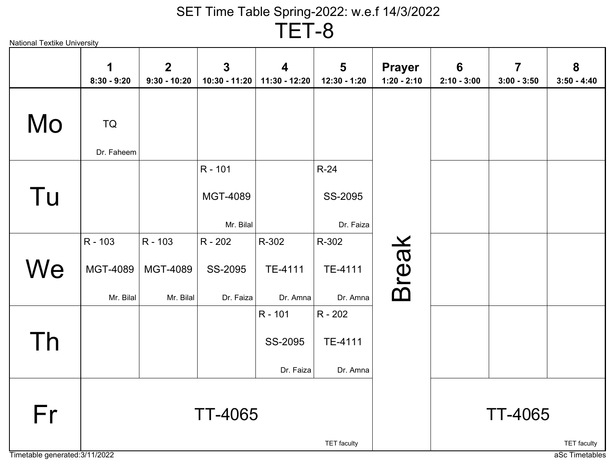TET-8

| <b>National Textike University</b> |               |                                |                               |                    |                                  |                                |                    |                                          |                    |
|------------------------------------|---------------|--------------------------------|-------------------------------|--------------------|----------------------------------|--------------------------------|--------------------|------------------------------------------|--------------------|
|                                    | $8:30 - 9:20$ | $\mathbf{2}$<br>$9:30 - 10:20$ | $\mathbf{3}$<br>10:30 - 11:20 | 4<br>11:30 - 12:20 | $5\phantom{1}$<br>$12:30 - 1:20$ | <b>Prayer</b><br>$1:20 - 2:10$ | 6<br>$2:10 - 3:00$ | $\overline{\mathbf{7}}$<br>$3:00 - 3:50$ | 8<br>$3:50 - 4:40$ |
| Mo                                 | <b>TQ</b>     |                                |                               |                    |                                  |                                |                    |                                          |                    |
|                                    | Dr. Faheem    |                                |                               |                    |                                  |                                |                    |                                          |                    |
|                                    |               |                                | R - 101                       |                    | $R-24$                           |                                |                    |                                          |                    |
| Tu                                 |               |                                | MGT-4089                      |                    | SS-2095                          |                                |                    |                                          |                    |
|                                    |               |                                | Mr. Bilal                     |                    | Dr. Faiza                        |                                |                    |                                          |                    |
|                                    | R - 103       | R - 103                        | R - 202                       | R-302              | R-302                            |                                |                    |                                          |                    |
| We                                 | MGT-4089      | MGT-4089                       | SS-2095                       | TE-4111            | TE-4111                          | <b>Break</b>                   |                    |                                          |                    |
|                                    | Mr. Bilal     | Mr. Bilal                      | Dr. Faiza                     | Dr. Amna           | Dr. Amna                         |                                |                    |                                          |                    |
|                                    |               |                                |                               | R - 101            | R - 202                          |                                |                    |                                          |                    |
| Th                                 |               |                                |                               | SS-2095            | TE-4111                          |                                |                    |                                          |                    |
|                                    |               |                                |                               | Dr. Faiza          | Dr. Amna                         |                                |                    |                                          |                    |
|                                    |               |                                |                               |                    |                                  |                                |                    |                                          |                    |
| Fr                                 |               |                                | <b>TT-4065</b>                |                    |                                  |                                |                    | <b>TT-4065</b>                           |                    |
|                                    |               |                                |                               |                    | <b>TET</b> faculty               |                                |                    |                                          | <b>TET</b> faculty |
| Timetable generated: 3/11/2022     |               |                                |                               |                    |                                  |                                |                    |                                          | aSc Timetables     |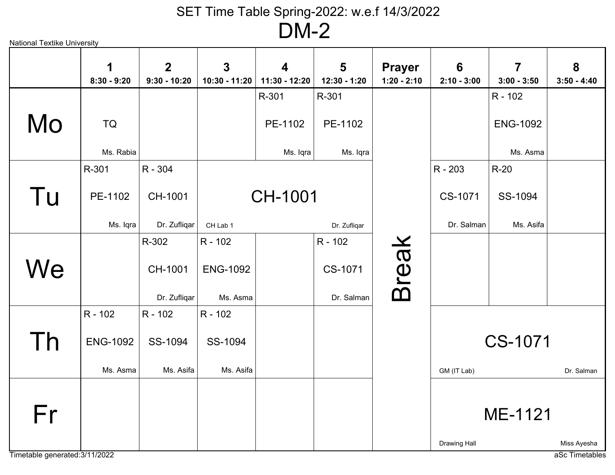National Textike University

|    | 1<br>$8:30 - 9:20$ | $\overline{2}$<br>$9:30 - 10:20$ | $\overline{3}$<br>10:30 - 11:20 | $\overline{\mathbf{4}}$<br>11:30 - 12:20 | 5<br>12:30 - 1:20 | <b>Prayer</b><br>$1:20 - 2:10$ | 6<br>$2:10 - 3:00$ | $\overline{7}$<br>$3:00 - 3:50$ | 8<br>$3:50 - 4:40$ |
|----|--------------------|----------------------------------|---------------------------------|------------------------------------------|-------------------|--------------------------------|--------------------|---------------------------------|--------------------|
|    |                    |                                  |                                 | R-301                                    | R-301             |                                |                    | R - 102                         |                    |
| Mo | <b>TQ</b>          |                                  |                                 | PE-1102                                  | PE-1102           |                                |                    | <b>ENG-1092</b>                 |                    |
|    | Ms. Rabia          |                                  |                                 | Ms. Iqra                                 | Ms. Iqra          |                                |                    | Ms. Asma                        |                    |
|    | R-301              | R - 304                          |                                 |                                          |                   |                                | R - 203            | $R-20$                          |                    |
| Tu | PE-1102            | CH-1001                          |                                 | <b>CH-1001</b>                           |                   |                                | CS-1071            | SS-1094                         |                    |
|    | Ms. Iqra           | Dr. Zufliqar                     | CH Lab 1                        |                                          | Dr. Zufliqar      |                                | Dr. Salman         | Ms. Asifa                       |                    |
|    |                    | R-302                            | R - 102                         |                                          | R - 102           |                                |                    |                                 |                    |
| We |                    | CH-1001                          | <b>ENG-1092</b>                 |                                          | CS-1071           | <b>Break</b>                   |                    |                                 |                    |
|    |                    | Dr. Zufligar                     | Ms. Asma                        |                                          | Dr. Salman        |                                |                    |                                 |                    |
|    | R - 102            | R - 102                          | R - 102                         |                                          |                   |                                |                    |                                 |                    |
| Th | <b>ENG-1092</b>    | SS-1094                          | SS-1094                         |                                          |                   |                                |                    | CS-1071                         |                    |
|    | Ms. Asma           | Ms. Asifa                        | Ms. Asifa                       |                                          |                   |                                | GM (IT Lab)        |                                 | Dr. Salman         |
|    |                    |                                  |                                 |                                          |                   |                                |                    |                                 |                    |
| Fr |                    |                                  |                                 |                                          |                   |                                |                    | ME-1121                         |                    |
|    |                    |                                  |                                 |                                          |                   |                                | Drawing Hall       |                                 | Miss Ayesha        |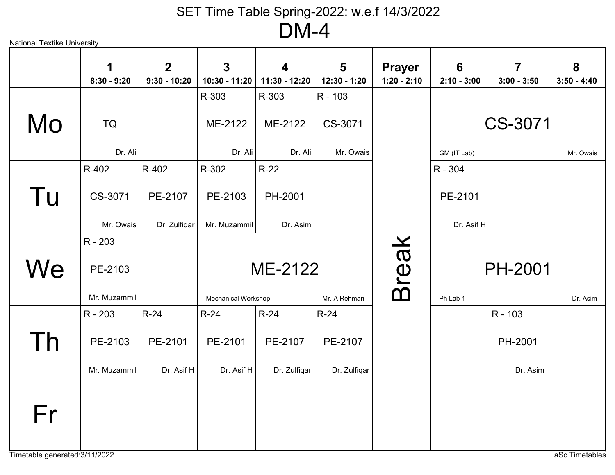|     | 1             | 2 <sup>2</sup> | $\overline{3}$                | $\overline{\mathbf{4}}$                   | 5            | <b>Prayer</b> | 6             | $\overline{7}$ | 8             |  |  |
|-----|---------------|----------------|-------------------------------|-------------------------------------------|--------------|---------------|---------------|----------------|---------------|--|--|
|     | $8:30 - 9:20$ | $9:30 - 10:20$ | 10:30 - 11:20                 | 11:30 - 12:20                             | 12:30 - 1:20 | $1:20 - 2:10$ | $2:10 - 3:00$ | $3:00 - 3:50$  | $3:50 - 4:40$ |  |  |
|     |               |                | R-303                         | R-303                                     | R - 103      |               |               |                |               |  |  |
| Mo  | TQ            |                | ME-2122<br>CS-3071<br>ME-2122 |                                           |              |               |               | CS-3071        |               |  |  |
|     | Dr. Ali       |                | Dr. Ali                       | Dr. Ali                                   | Mr. Owais    |               | GM (IT Lab)   |                | Mr. Owais     |  |  |
|     | R-402         | R-402          | R-302                         | $R-22$                                    |              |               | R - 304       |                |               |  |  |
| Tu  | CS-3071       | PE-2107        | PE-2103                       | PH-2001                                   |              |               | PE-2101       |                |               |  |  |
|     | Mr. Owais     | Dr. Zulfigar   | Mr. Muzammil                  | Dr. Asim                                  |              |               | Dr. Asif H    |                |               |  |  |
|     | R - 203       |                |                               |                                           |              |               |               |                |               |  |  |
| We  | PE-2103       |                |                               | <b>Break</b><br>ME-2122<br><b>PH-2001</b> |              |               |               |                |               |  |  |
|     | Mr. Muzammil  |                | Mechanical Workshop           |                                           | Mr. A Rehman | Ph Lab 1      |               |                | Dr. Asim      |  |  |
|     | R - 203       | $R-24$         | $R-24$                        | $R-24$                                    | $R-24$       |               |               | R - 103        |               |  |  |
| Th. | PE-2103       | PE-2101        | PE-2101                       | PE-2107                                   | PE-2107      |               |               | PH-2001        |               |  |  |
|     | Mr. Muzammil  | Dr. Asif H     | Dr. Asif H                    | Dr. Zulfiqar                              | Dr. Zulfiqar |               |               | Dr. Asim       |               |  |  |
| Fr  |               |                |                               |                                           |              |               |               |                |               |  |  |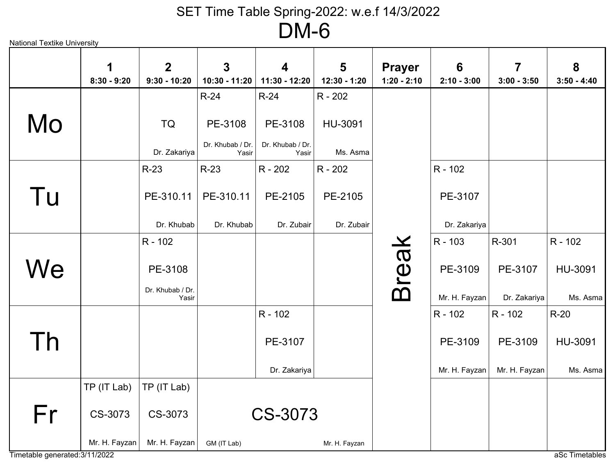|    | 1             | 2 <sup>1</sup>            | $\overline{3}$            | $\overline{\mathbf{4}}$   | 5             | <b>Prayer</b> | $6\phantom{1}$ | $\overline{7}$ | 8             |
|----|---------------|---------------------------|---------------------------|---------------------------|---------------|---------------|----------------|----------------|---------------|
|    | $8:30 - 9:20$ | $9:30 - 10:20$            | 10:30 - 11:20             | 11:30 - 12:20             | 12:30 - 1:20  | $1:20 - 2:10$ | $2:10 - 3:00$  | $3:00 - 3:50$  | $3:50 - 4:40$ |
|    |               |                           | $R-24$                    | $R-24$                    | R - 202       |               |                |                |               |
| Mo |               | <b>TQ</b>                 | PE-3108                   | PE-3108                   | HU-3091       |               |                |                |               |
|    |               | Dr. Zakariya              | Dr. Khubab / Dr.<br>Yasir | Dr. Khubab / Dr.<br>Yasir | Ms. Asma      |               |                |                |               |
|    |               | $R-23$                    | $R-23$                    | R - 202                   | R - 202       |               | R - 102        |                |               |
| Tu |               | PE-310.11                 | PE-310.11                 | PE-2105                   | PE-2105       |               | PE-3107        |                |               |
|    |               | Dr. Khubab                | Dr. Khubab                | Dr. Zubair                | Dr. Zubair    |               | Dr. Zakariya   |                |               |
|    |               | R - 102                   |                           |                           |               |               | R - 103        | R-301          | R - 102       |
| We |               | PE-3108                   |                           |                           |               | <b>Break</b>  | PE-3109        | PE-3107        | HU-3091       |
|    |               | Dr. Khubab / Dr.<br>Yasir |                           |                           |               |               | Mr. H. Fayzan  | Dr. Zakariya   | Ms. Asma      |
|    |               |                           |                           | R - 102                   |               |               | R - 102        | R - 102        | $R-20$        |
| Th |               |                           |                           | PE-3107                   |               |               | PE-3109        | PE-3109        | HU-3091       |
|    |               |                           |                           | Dr. Zakariya              |               |               | Mr. H. Fayzan  | Mr. H. Fayzan  | Ms. Asma      |
|    | TP (IT Lab)   | TP (IT Lab)               |                           |                           |               |               |                |                |               |
| Fr | CS-3073       | CS-3073                   |                           | CS-3073                   |               |               |                |                |               |
|    | Mr. H. Fayzan | Mr. H. Fayzan             | GM (IT Lab)               |                           | Mr. H. Fayzan |               |                |                |               |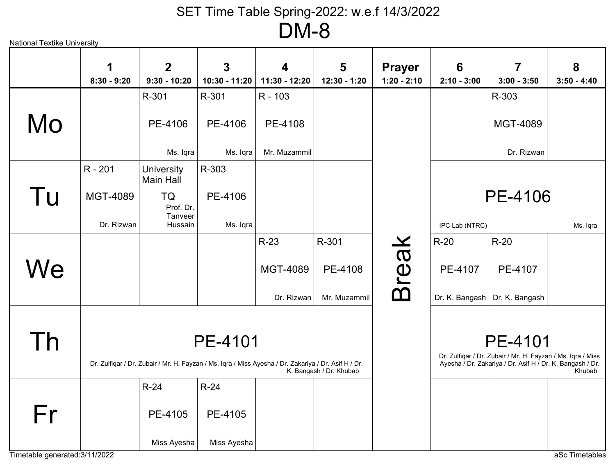| <b>National Textike University</b> |               |                                  |                                                                                                      |                    |                     |                                                                                                                          |                                  |                                 |                    |
|------------------------------------|---------------|----------------------------------|------------------------------------------------------------------------------------------------------|--------------------|---------------------|--------------------------------------------------------------------------------------------------------------------------|----------------------------------|---------------------------------|--------------------|
|                                    | $8:30 - 9:20$ | $\overline{2}$<br>$9:30 - 10:20$ | 3<br>$10:30 - 11:20$                                                                                 | 4<br>11:30 - 12:20 | 5<br>$12:30 - 1:20$ | <b>Prayer</b><br>$1:20 - 2:10$                                                                                           | $6\phantom{1}6$<br>$2:10 - 3:00$ | 7<br>$3:00 - 3:50$              | 8<br>$3:50 - 4:40$ |
|                                    |               | R-301                            | R-301                                                                                                | R - 103            |                     |                                                                                                                          |                                  | R-303                           |                    |
| Mo                                 |               | PE-4106                          | PE-4106                                                                                              | PE-4108            |                     |                                                                                                                          |                                  | MGT-4089                        |                    |
|                                    |               | Ms. Iqra                         | Ms. Iqra                                                                                             | Mr. Muzammil       |                     |                                                                                                                          |                                  | Dr. Rizwan                      |                    |
|                                    | R - 201       | <b>University</b><br>Main Hall   | R-303                                                                                                |                    |                     |                                                                                                                          |                                  |                                 |                    |
| Tu                                 | MGT-4089      | TQ<br>Prof. Dr.                  | PE-4106                                                                                              |                    |                     |                                                                                                                          |                                  | PE-4106                         |                    |
|                                    | Dr. Rizwan    | Tanveer<br>Hussain               | Ms. Igra                                                                                             |                    |                     |                                                                                                                          | IPC Lab (NTRC)                   |                                 | Ms. Iqra           |
|                                    |               |                                  |                                                                                                      | $R-23$             | R-301               |                                                                                                                          | $R-20$                           | $R-20$                          |                    |
| We                                 |               |                                  |                                                                                                      | <b>MGT-4089</b>    | PE-4108             | <b>Break</b>                                                                                                             | PE-4107                          | PE-4107                         |                    |
|                                    |               |                                  |                                                                                                      | Dr. Rizwan         | Mr. Muzammil        |                                                                                                                          |                                  | Dr. K. Bangash   Dr. K. Bangash |                    |
|                                    |               |                                  |                                                                                                      |                    |                     |                                                                                                                          |                                  |                                 |                    |
| Th                                 |               |                                  | PE-4101                                                                                              |                    |                     |                                                                                                                          |                                  | <b>PE-4101</b>                  |                    |
|                                    |               |                                  | Dr. Zulfiqar / Dr. Zubair / Mr. H. Fayzan / Ms. Iqra / Miss Ayesha / Dr. Zakariya / Dr. Asif H / Dr. |                    |                     | Dr. Zulfiqar / Dr. Zubair / Mr. H. Fayzan / Ms. Iqra / Miss<br>Ayesha / Dr. Zakariya / Dr. Asif H / Dr. K. Bangash / Dr. | Khubab                           |                                 |                    |
|                                    |               | $R-24$                           | $R-24$                                                                                               |                    |                     |                                                                                                                          |                                  |                                 |                    |
| Fr                                 |               | PE-4105                          | PE-4105                                                                                              |                    |                     |                                                                                                                          |                                  |                                 |                    |
|                                    |               | Miss Ayesha                      | Miss Ayesha                                                                                          |                    |                     |                                                                                                                          |                                  |                                 |                    |
| Timetable generated: 3/11/2022     |               |                                  |                                                                                                      |                    |                     |                                                                                                                          |                                  |                                 | aSc Timetables     |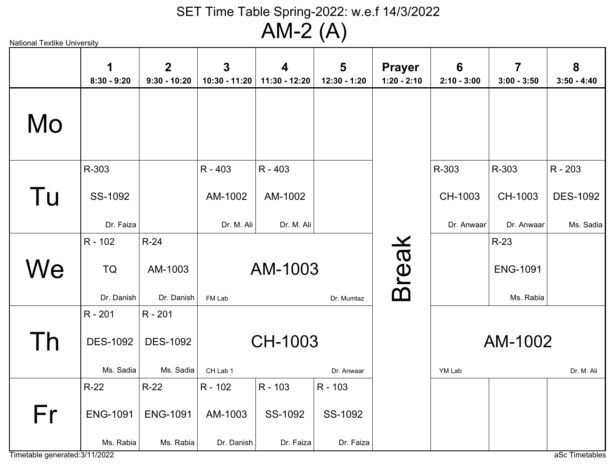National Textike University

|    | 1<br>$8:30 - 9:20$ | $\overline{2}$<br>$9:30 - 10:20$ | $\overline{3}$<br>10:30 - 11:20 | $\boldsymbol{4}$<br>11:30 - 12:20 | 5<br>12:30 - 1:20 | <b>Prayer</b><br>$1:20 - 2:10$ | $6\phantom{1}6$<br>$2:10 - 3:00$ | $\overline{\mathbf{7}}$<br>$3:00 - 3:50$ | 8<br>$3:50 - 4:40$ |
|----|--------------------|----------------------------------|---------------------------------|-----------------------------------|-------------------|--------------------------------|----------------------------------|------------------------------------------|--------------------|
| Mo |                    |                                  |                                 |                                   |                   |                                |                                  |                                          |                    |
|    | R-303              |                                  | R - 403                         | R - 403                           |                   |                                | R-303                            | R-303                                    | R - 203            |
| Tu | SS-1092            |                                  | AM-1002                         | AM-1002                           |                   |                                | CH-1003                          | CH-1003                                  | <b>DES-1092</b>    |
|    | Dr. Faiza          |                                  | Dr. M. Ali                      | Dr. M. Ali                        |                   |                                | Dr. Anwaar                       | Dr. Anwaar                               | Ms. Sadia          |
|    | $R - 102$          | $R-24$                           |                                 |                                   |                   |                                |                                  | $R-23$                                   |                    |
| We | <b>TQ</b>          | AM-1003                          |                                 | AM-1003                           |                   | <b>Break</b>                   |                                  | <b>ENG-1091</b>                          |                    |
|    | Dr. Danish         | Dr. Danish                       | FM Lab                          |                                   | Dr. Mumtaz        |                                |                                  | Ms. Rabia                                |                    |
|    | $R - 201$          | R - 201                          |                                 |                                   |                   |                                |                                  |                                          |                    |
| Th | <b>DES-1092</b>    | <b>DES-1092</b>                  |                                 | CH-1003                           |                   |                                |                                  | AM-1002                                  |                    |
|    | Ms. Sadia          | Ms. Sadia                        | CH Lab 1                        |                                   | Dr. Anwaar        |                                | YM Lab                           |                                          | Dr. M. Ali         |
|    | $R-22$             | $R-22$                           | R - 102                         | R - 103                           | R - 103           |                                |                                  |                                          |                    |
| Fr | <b>ENG-1091</b>    | <b>ENG-1091</b>                  | AM-1003                         | SS-1092                           | SS-1092           |                                |                                  |                                          |                    |
|    | Ms. Rabia          | Ms. Rabia                        | Dr. Danish                      | Dr. Faiza                         | Dr. Faiza         |                                |                                  |                                          |                    |